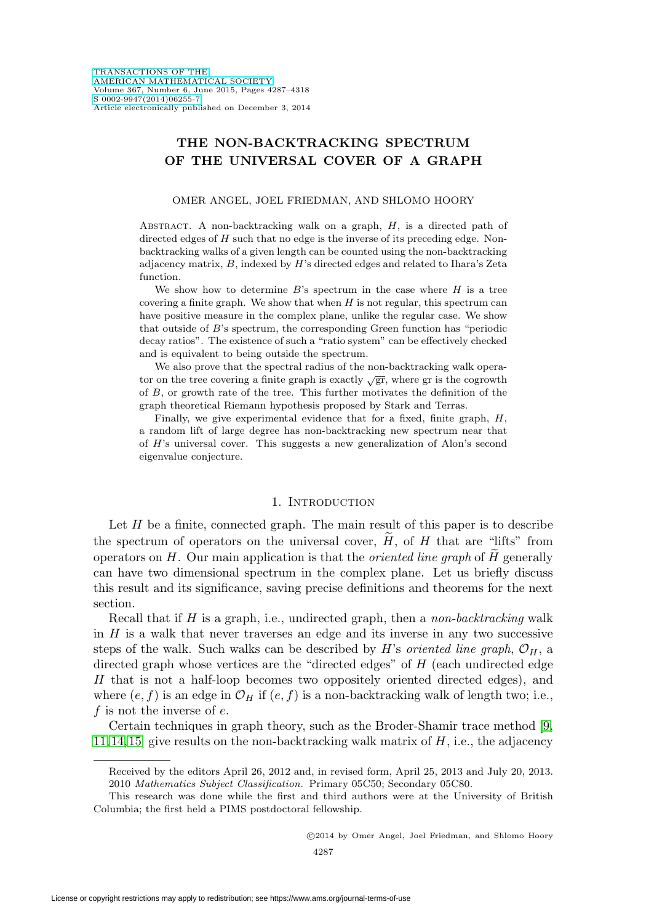# **THE NON-BACKTRACKING SPECTRUM OF THE UNIVERSAL COVER OF A GRAPH**

### OMER ANGEL, JOEL FRIEDMAN, AND SHLOMO HOORY

ABSTRACT. A non-backtracking walk on a graph,  $H$ , is a directed path of directed edges of H such that no edge is the inverse of its preceding edge. Nonbacktracking walks of a given length can be counted using the non-backtracking adjacency matrix, B, indexed by H's directed edges and related to Ihara's Zeta function.

We show how to determine  $B$ 's spectrum in the case where  $H$  is a tree covering a finite graph. We show that when  $H$  is not regular, this spectrum can have positive measure in the complex plane, unlike the regular case. We show that outside of B's spectrum, the corresponding Green function has "periodic decay ratios". The existence of such a "ratio system" can be effectively checked and is equivalent to being outside the spectrum.

We also prove that the spectral radius of the non-backtracking walk operator on the tree covering a finite graph is exactly  $\sqrt{gr}$ , where gr is the cogrowth of B, or growth rate of the tree. This further motivates the definition of the graph theoretical Riemann hypothesis proposed by Stark and Terras.

Finally, we give experimental evidence that for a fixed, finite graph,  $H$ , a random lift of large degree has non-backtracking new spectrum near that of H's universal cover. This suggests a new generalization of Alon's second eigenvalue conjecture.

### 1. INTRODUCTION

Let  $H$  be a finite, connected graph. The main result of this paper is to describe the spectrum of operators on the universal cover,  $H$ , of  $H$  that are "lifts" from operators on  $H$ . Our main application is that the *oriented line graph* of  $H$  generally can have two dimensional spectrum in the complex plane. Let us briefly discuss this result and its significance, saving precise definitions and theorems for the next section.

Recall that if  $H$  is a graph, i.e., undirected graph, then a *non-backtracking* walk in  $H$  is a walk that never traverses an edge and its inverse in any two successive steps of the walk. Such walks can be described by H's *oriented line graph*,  $\mathcal{O}_H$ , a directed graph whose vertices are the "directed edges" of  $H$  (each undirected edge H that is not a half-loop becomes two oppositely oriented directed edges), and where  $(e, f)$  is an edge in  $\mathcal{O}_H$  if  $(e, f)$  is a non-backtracking walk of length two; i.e., f is not the inverse of  $e$ .

Certain techniques in graph theory, such as the Broder-Shamir trace method [\[9,](#page-30-0) [11,](#page-30-1) [14,](#page-30-2) [15\]](#page-30-3) give results on the non-backtracking walk matrix of  $H$ , i.e., the adjacency

Received by the editors April 26, 2012 and, in revised form, April 25, 2013 and July 20, 2013. 2010 Mathematics Subject Classification. Primary 05C50; Secondary 05C80.

This research was done while the first and third authors were at the University of British Columbia; the first held a PIMS postdoctoral fellowship.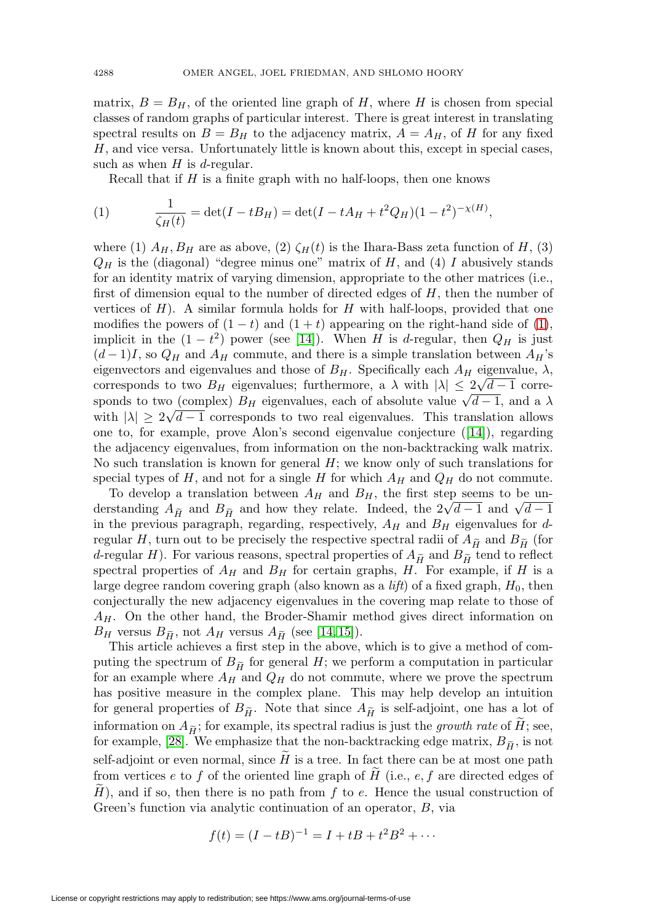matrix,  $B = B_H$ , of the oriented line graph of H, where H is chosen from special classes of random graphs of particular interest. There is great interest in translating spectral results on  $B = B_H$  to the adjacency matrix,  $A = A_H$ , of H for any fixed H, and vice versa. Unfortunately little is known about this, except in special cases, such as when  $H$  is d-regular.

Recall that if  $H$  is a finite graph with no half-loops, then one knows

<span id="page-1-0"></span>(1) 
$$
\frac{1}{\zeta_H(t)} = \det(I - tB_H) = \det(I - tA_H + t^2 Q_H)(1 - t^2)^{-\chi(H)},
$$

where (1)  $A_H$ ,  $B_H$  are as above, (2)  $\zeta_H(t)$  is the Ihara-Bass zeta function of H, (3)  $Q_H$  is the (diagonal) "degree minus one" matrix of H, and (4) I abusively stands for an identity matrix of varying dimension, appropriate to the other matrices (i.e., first of dimension equal to the number of directed edges of  $H$ , then the number of vertices of  $H$ ). A similar formula holds for  $H$  with half-loops, provided that one modifies the powers of  $(1-t)$  and  $(1+t)$  appearing on the right-hand side of [\(1\)](#page-1-0), implicit in the  $(1-t^2)$  power (see [\[14\]](#page-30-2)). When H is d-regular, then  $Q_H$  is just  $(d-1)I$ , so  $Q_H$  and  $A_H$  commute, and there is a simple translation between  $A_H$ 's eigenvectors and eigenvalues and those of  $B_H$ . Specifically each  $A_H$  eigenvalue,  $\lambda$ , eigenvectors and eigenvalues and those of  $D_H$ . Specifically each  $A_H$  eigenvalue,  $\lambda$ , corresponds to two  $B_H$  eigenvalues; furthermore, a  $\lambda$  with  $|\lambda| \leq 2\sqrt{d-1}$  corresponds to two (complex)  $B_H$  eigenvalues, each of absolute value  $\sqrt{d-1}$ , and a  $\lambda$ sponds to two (complex)  $D_H$  eigenvalues, each of absolute value  $\sqrt{a-1}$ , and a  $\lambda$  with  $|\lambda| \geq 2\sqrt{d-1}$  corresponds to two real eigenvalues. This translation allows one to, for example, prove Alon's second eigenvalue conjecture ([\[14\]](#page-30-2)), regarding the adjacency eigenvalues, from information on the non-backtracking walk matrix. No such translation is known for general  $H$ ; we know only of such translations for special types of H, and not for a single H for which  $A_H$  and  $Q_H$  do not commute.

To develop a translation between  $A_H$  and  $B_H$ , the first step seems to be un-No such translation is known for general  $H$ ; we know only of such translations for special types of  $H$ , and not for a single  $H$  for which  $A_H$  and  $Q_H$  do not commute. To develop a translation between  $A_H$  and  $B_H$ , th in the previous paragraph, regarding, respectively,  $A_H$  and  $B_H$  eigenvalues for dregular H, turn out to be precisely the respective spectral radii of  $A_{\widetilde{H}}$  and  $B_{\widetilde{H}}$  (for derstanding  $A_{\tilde{H}}$  and  $B_{\tilde{H}}$  and now they relate. Indeed, the  $2\sqrt{a}-1$  and  $\sqrt{a}-1$ <br>in the previous paragraph, regarding, respectively,  $A_H$  and  $B_H$  eigenvalues for d-<br>regular H, turn out to be precisely the re spectral properties of  $A_H$  and  $B_H$  for certain graphs, H. For example, if H is a large degree random covering graph (also known as a *lift*) of a fixed graph,  $H_0$ , then conjecturally the new adjacency eigenvalues in the covering map relate to those of  $A_H$ . On the other hand, the Broder-Shamir method gives direct information on large degree random covering graple<br>
conjecturally the new adjacency either<br>  $A_H$ . On the other hand, the Bro<br>  $B_H$  versus  $B_{\widetilde{H}}$ , not  $A_H$  versus  $A_{\widetilde{H}}$  $_{\widetilde{H}}$  (see [\[14,](#page-30-2) [15\]](#page-30-3)).

This article achieves a first step in the above, which is to give a method of com- $A_H$ . On the other hand,  $B_H$  versus  $B_{\tilde{H}}$ , not  $A_H$  ver<br>This article achieves a fi<br>puting the spectrum of  $B_{\tilde{H}}$ puting the spectrum of  $B_{\tilde{H}}$  for general H; we perform a computation in particular for an example where  $A_H$  and  $Q_H$  do not commute, where we prove the spectrum has positive measure in the complex plane. This may help develop an intuition puting the spectrum of  $B_{\tilde{H}}$  for general  $H$ ; we performance for an example where  $A_H$  and  $Q_H$  do not commut has positive measure in the complex plane. This for general properties of  $B_{\tilde{H}}$ . Note that since  $A_{\$ for general properties of  $B_{\tilde{H}}$ . Note that since  $A_{\tilde{H}}$  is self-adjoint, one has a lot of for an example where  $A_H$  and  $Q_H$  do not commute, where we prove the spectrum<br>has positive measure in the complex plane. This may help develop an intuition<br>for general properties of  $B_{\tilde{H}}$ . Note that since  $A_{\tilde{H}}$ for general properties of  $B_{\tilde{H}}$ . Note that since  $A_{\tilde{H}}$  is self-adjoint, one has a information on  $A_{\tilde{H}}$ ; for example, its spectral radius is just the *growth rate* of for example, [\[28\]](#page-31-0). We emphasize that the for example, [28]. We emphasize that the non-backtracking edge matrix,  $B_{\tilde{H}}$ , is not self-adjoint or even normal, since  $H$  is a tree. In fact there can be at most one path from vertices e to f of the oriented line graph of H (i.e.,  $e, f$  are directed edges of  $(H)$ , and if so, then there is no path from  $f$  to  $e$ . Hence the usual construction of Green's function via analytic continuation of an operator, B, via

$$
f(t) = (I - tB)^{-1} = I + tB + t^2B^2 + \cdots
$$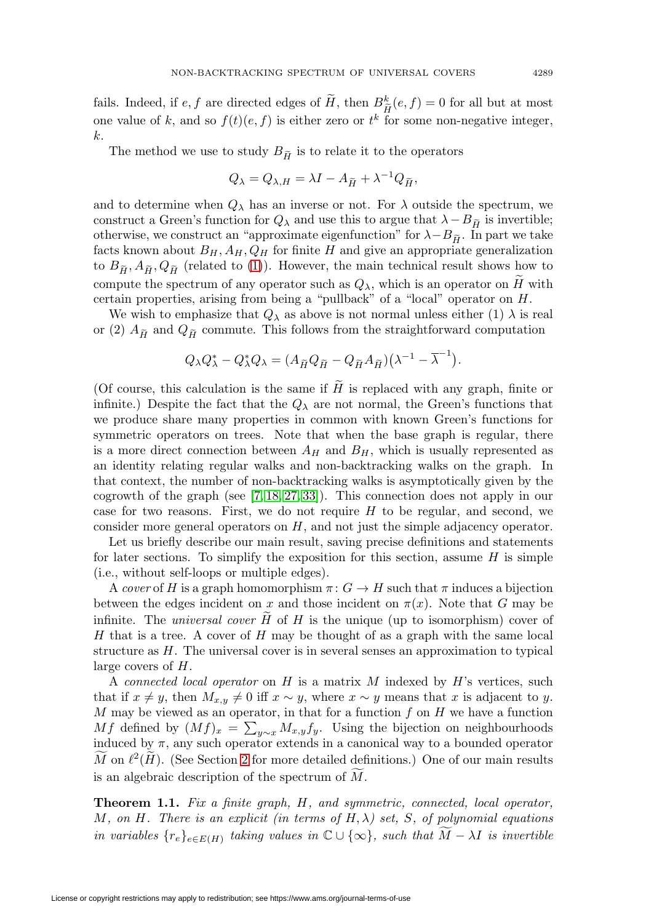fails. Indeed, if  $e, f$  are directed edges of  $\tilde{H}$ , then  $B_{\tilde{H}}^k(e, f) = 0$  for all but at most  $\frac{k}{\widetilde{H}}$ one value of k, and so  $f(t)(e, f)$  is either zero or  $t^k$  for some non-negative integer,<br>
k.<br>
The method we use to study  $B_{\tilde{H}}$  is to relate it to the operators k.

 $\tilde{q}$  is to relate it to the operators

o study 
$$
B_{\tilde{H}}
$$
 is to relate it to the o  
 $Q_{\lambda} = Q_{\lambda,H} = \lambda I - A_{\tilde{H}} + \lambda^{-1} Q_{\tilde{H}},$ 

and to determine when  $Q_{\lambda}$  has an inverse or not. For  $\lambda$  outside the spectrum, we  $Q_{\lambda} = Q_{\lambda,H} = \lambda I - A_{\widetilde{H}} + \lambda^{-1} Q_{\widetilde{H}},$ <br>and to determine when  $Q_{\lambda}$  has an inverse or not. For  $\lambda$  outside the construct a Green's function for  $Q_{\lambda}$  and use this to argue that  $\lambda - B_{\widetilde{H}}$ construct a Green's function for  $Q_{\lambda}$  and use this to argue that  $\lambda - B_{\tilde{H}}$  is invertible; and to determine when  $Q_{\lambda}$  has an inverse or not. For  $\lambda$  outside t construct a Green's function for  $Q_{\lambda}$  and use this to argue that  $\lambda$  – otherwise, we construct an "approximate eigenfunction" for  $\lambda - B_{\widetilde{H}}$ otherwise, we construct an "approximate eigenfunction" for  $\lambda - B_{\tilde{H}}$ . In part we take facts known about  $B_H$ ,  $A_H$ ,  $Q_H$  for finite H and give an appropriate generalization construct a Green's function for  $Q_{\lambda}$  and use this to argue that  $\lambda - B_{\widetilde{H}}$  is invertible;<br>otherwise, we construct an "approximate eigenfunction" for  $\lambda - B_{\widetilde{H}}$ . In part we take<br>facts known about  $B_H$ ,  $A_H$ ,  $Q$ compute the spectrum of any operator such as  $Q_{\lambda}$ , which is an operator on H with certain properties, arising from being a "pullback" of a "local" operator on H.

We wish to emphasize that  $Q_{\lambda}$  as above is not normal unless either (1)  $\lambda$  is real compute the spect:<br>
certain properties,<br>
We wish to emp<br>
or (2)  $A_{\tilde{H}}$  and  $Q_{\tilde{H}}$  $\tilde{q}$  commute. This follows from the straightforward computation hat  $Q_{\lambda}$  as above is not not<br>te. This follows from the<br> ${}_{\lambda}^{*}Q_{\lambda} = (A_{\widetilde{H}}Q_{\widetilde{H}} - Q_{\widetilde{H}}A_{\widetilde{H}})$ 

$$
Q_{\lambda}Q_{\lambda}^* - Q_{\lambda}^*Q_{\lambda} = (A_{\widetilde{H}}Q_{\widetilde{H}} - Q_{\widetilde{H}}A_{\widetilde{H}})(\lambda^{-1} - \overline{\lambda}^{-1}).
$$

(Of course, this calculation is the same if  $H$  is replaced with any graph, finite or infinite.) Despite the fact that the  $Q_{\lambda}$  are not normal, the Green's functions that we produce share many properties in common with known Green's functions for symmetric operators on trees. Note that when the base graph is regular, there is a more direct connection between  $A_H$  and  $B_H$ , which is usually represented as an identity relating regular walks and non-backtracking walks on the graph. In that context, the number of non-backtracking walks is asymptotically given by the cogrowth of the graph (see [\[7,](#page-30-4) [18,](#page-30-5) [27,](#page-31-1) [33\]](#page-31-2)). This connection does not apply in our case for two reasons. First, we do not require  $H$  to be regular, and second, we consider more general operators on H, and not just the simple adjacency operator.

Let us briefly describe our main result, saving precise definitions and statements for later sections. To simplify the exposition for this section, assume  $H$  is simple (i.e., without self-loops or multiple edges).

A cover of H is a graph homomorphism  $\pi: G \to H$  such that  $\pi$  induces a bijection between the edges incident on x and those incident on  $\pi(x)$ . Note that G may be infinite. The *universal cover*  $H$  of  $H$  is the unique (up to isomorphism) cover of  $H$  that is a tree. A cover of  $H$  may be thought of as a graph with the same local structure as  $H$ . The universal cover is in several senses an approximation to typical large covers of H.

A connected local operator on H is a matrix M indexed by H's vertices, such that if  $x \neq y$ , then  $M_{x,y} \neq 0$  iff  $x \sim y$ , where  $x \sim y$  means that x is adjacent to y.  $M$  may be viewed as an operator, in that for a function  $f$  on  $H$  we have a function Mf defined by  $(Mf)_x = \sum_{y \sim x} M_{x,y} f_y$ . Using the bijection on neighbourhoods induced by  $\pi$ , any such operator extends in a canonical way to a bounded operator M on  $\ell^2(H)$ . (See Section [2](#page-9-0) for more detailed definitions.) One of our main results is an algebraic description of the spectrum of M .

<span id="page-2-0"></span>**Theorem 1.1.** Fix a finite graph, H, and symmetric, connected, local operator, M, on H. There is an explicit (in terms of  $H, \lambda$ ) set, S, of polynomial equations in variables  $\{r_e\}_{e \in E(H)}$  taking values in  $\mathbb{C} \cup \{\infty\}$ , such that  $\widetilde{M} - \lambda I$  is invertible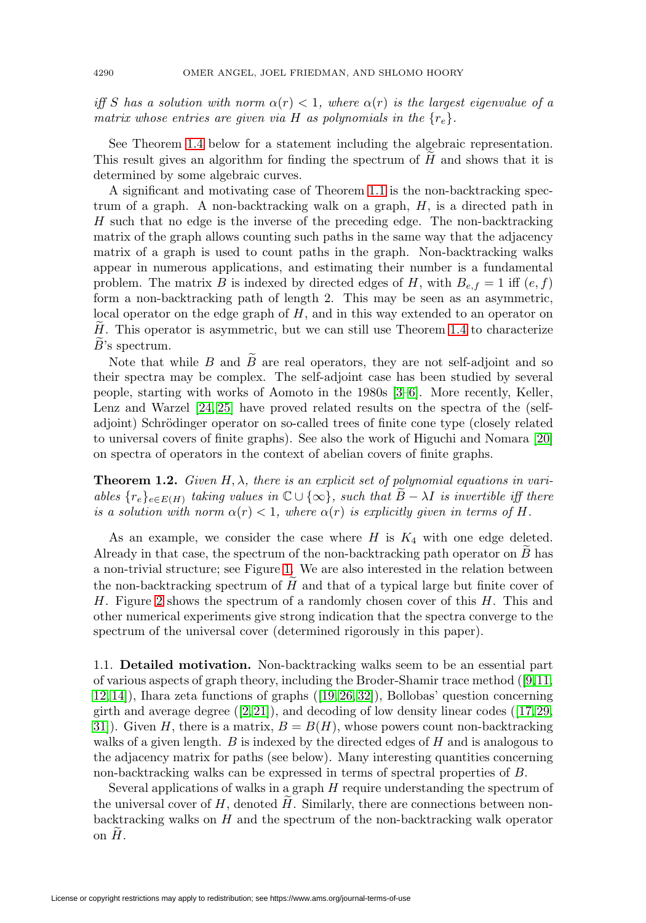iff S has a solution with norm  $\alpha(r) < 1$ , where  $\alpha(r)$  is the largest eigenvalue of a matrix whose entries are given via H as polynomials in the  $\{r_e\}$ .

See Theorem [1.4](#page-8-0) below for a statement including the algebraic representation. This result gives an algorithm for finding the spectrum of  $H$  and shows that it is determined by some algebraic curves.

A significant and motivating case of Theorem [1.1](#page-2-0) is the non-backtracking spectrum of a graph. A non-backtracking walk on a graph, H, is a directed path in H such that no edge is the inverse of the preceding edge. The non-backtracking matrix of the graph allows counting such paths in the same way that the adjacency matrix of a graph is used to count paths in the graph. Non-backtracking walks appear in numerous applications, and estimating their number is a fundamental problem. The matrix B is indexed by directed edges of H, with  $B_{e,f} = 1$  iff  $(e, f)$ form a non-backtracking path of length 2. This may be seen as an asymmetric, local operator on the edge graph of H, and in this way extended to an operator on  $H_{\sim}$ . This operator is asymmetric, but we can still use Theorem [1.4](#page-8-0) to characterize  $B$ 's spectrum.

Note that while  $B$  and  $B$  are real operators, they are not self-adjoint and so their spectra may be complex. The self-adjoint case has been studied by several people, starting with works of Aomoto in the 1980s [\[3](#page-30-6)[–6\]](#page-30-7). More recently, Keller, Lenz and Warzel [\[24,](#page-31-3) [25\]](#page-31-4) have proved related results on the spectra of the (selfadjoint) Schrödinger operator on so-called trees of finite cone type (closely related to universal covers of finite graphs). See also the work of Higuchi and Nomara [\[20\]](#page-30-8) on spectra of operators in the context of abelian covers of finite graphs.

**Theorem 1.2.** Given  $H, \lambda$ , there is an explicit set of polynomial equations in variables  ${r_e}_{e \in E(H)}$  taking values in  $\mathbb{C} \cup \{\infty\}$ , such that  $\widetilde{B}-\lambda I$  is invertible iff there is a solution with norm  $\alpha(r) < 1$ , where  $\alpha(r)$  is explicitly given in terms of H.

As an example, we consider the case where  $H$  is  $K_4$  with one edge deleted. Already in that case, the spectrum of the non-backtracking path operator on  $B$  has a non-trivial structure; see Figure [1.](#page-4-0) We are also interested in the relation between the non-backtracking spectrum of  $H$  and that of a typical large but finite cover of  $H$ . Figure [2](#page-4-1) shows the spectrum of a randomly chosen cover of this  $H$ . This and other numerical experiments give strong indication that the spectra converge to the spectrum of the universal cover (determined rigorously in this paper).

1.1. **Detailed motivation.** Non-backtracking walks seem to be an essential part of various aspects of graph theory, including the Broder-Shamir trace method ([\[9,](#page-30-0)[11,](#page-30-1) [12,](#page-30-9) [14\]](#page-30-2)), Ihara zeta functions of graphs ([\[19,](#page-30-10) [26,](#page-31-5) [32\]](#page-31-6)), Bollobas' question concerning girth and average degree  $([2, 21])$  $([2, 21])$  $([2, 21])$  $([2, 21])$ , and decoding of low density linear codes  $([17, 29, ...)$  $([17, 29, ...)$  $([17, 29, ...)$  $([17, 29, ...)$ 31). Given H, there is a matrix,  $B = B(H)$ , whose powers count non-backtracking walks of a given length.  $B$  is indexed by the directed edges of  $H$  and is analogous to the adjacency matrix for paths (see below). Many interesting quantities concerning non-backtracking walks can be expressed in terms of spectral properties of B.

Several applications of walks in a graph  $H$  require understanding the spectrum of the universal cover of  $H$ , denoted  $H$ . Similarly, there are connections between nonbacktracking walks on H and the spectrum of the non-backtracking walk operator on  $H$ .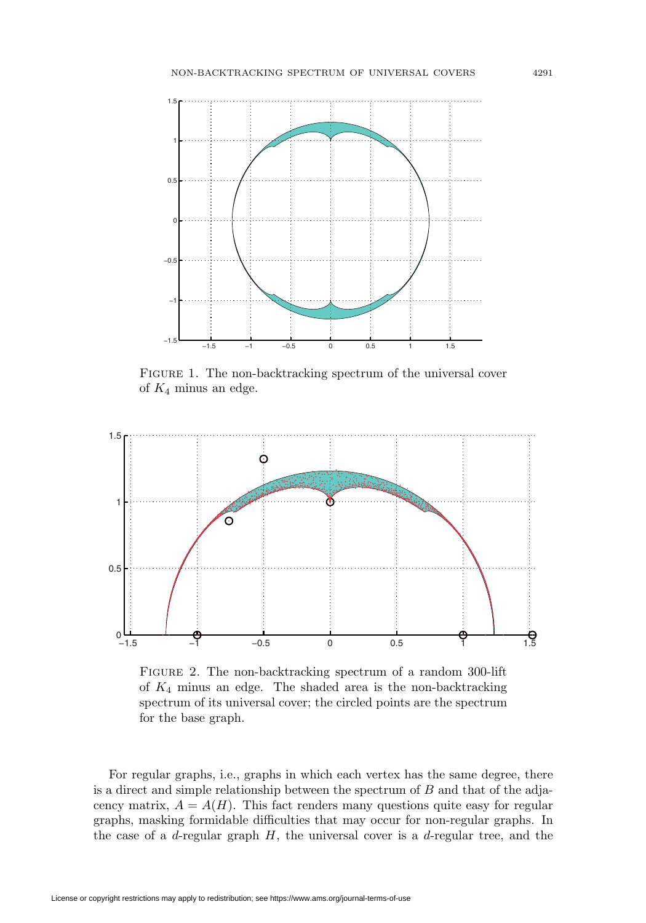

<span id="page-4-0"></span>FIGURE 1. The non-backtracking spectrum of the universal cover of  $K_4$  minus an edge.



<span id="page-4-1"></span>Figure 2. The non-backtracking spectrum of a random 300-lift of  $K_4$  minus an edge. The shaded area is the non-backtracking spectrum of its universal cover; the circled points are the spectrum for the base graph.

For regular graphs, i.e., graphs in which each vertex has the same degree, there is a direct and simple relationship between the spectrum of B and that of the adjacency matrix,  $A = A(H)$ . This fact renders many questions quite easy for regular graphs, masking formidable difficulties that may occur for non-regular graphs. In the case of a  $d$ -regular graph  $H$ , the universal cover is a  $d$ -regular tree, and the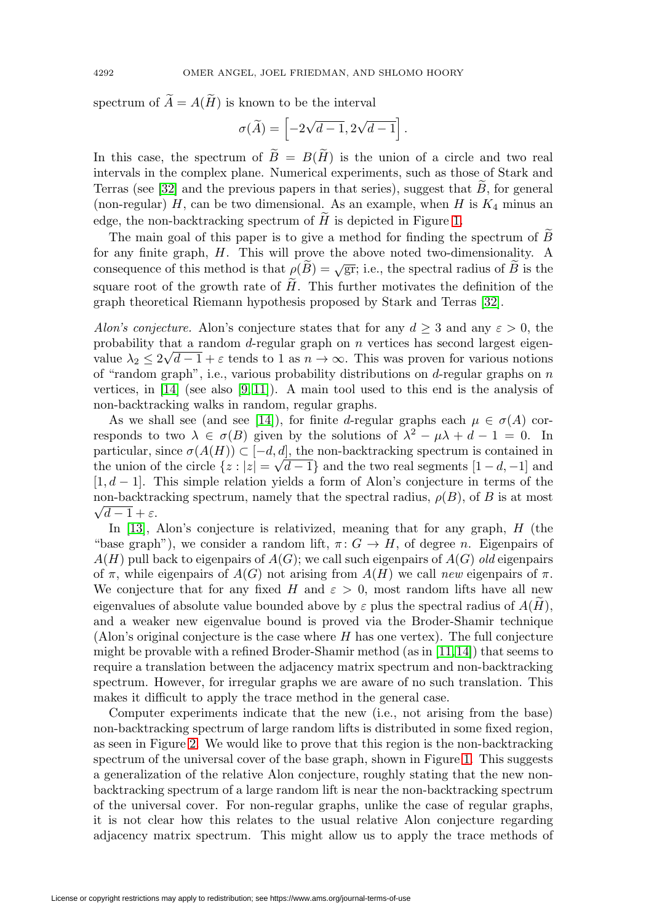spectrum of  $A = A(H)$  is known to be the interval

$$
\sigma(\widetilde{A}) = \left[ -2\sqrt{d-1}, 2\sqrt{d-1} \right].
$$

In this case, the spectrum of  $B = B(H)$  is the union of a circle and two real intervals in the complex plane. Numerical experiments, such as those of Stark and Terras (see  $[32]$  and the previous papers in that series), suggest that  $B$ , for general (non-regular)  $H$ , can be two dimensional. As an example, when  $H$  is  $K_4$  minus an edge, the non-backtracking spectrum of  $H$  is depicted in Figure [1.](#page-4-0)

The main goal of this paper is to give a method for finding the spectrum of B for any finite graph, H. This will prove the above noted two-dimensionality. A consequence of this method is that  $\rho(\tilde{B}) = \sqrt{gr}$ ; i.e., the spectral radius of  $\tilde{B}$  is the square root of the growth rate of  $H$ . This further motivates the definition of the graph theoretical Riemann hypothesis proposed by Stark and Terras [\[32\]](#page-31-6).

Alon's conjecture. Alon's conjecture states that for any  $d \geq 3$  and any  $\varepsilon > 0$ , the probability that a random  $d$ -regular graph on  $n$  vertices has second largest eigenprobability that a random *u*-regular graph on *n* vertices has second largest eigenvalue  $\lambda_2 \leq 2\sqrt{d-1} + \varepsilon$  tends to 1 as  $n \to \infty$ . This was proven for various notions of "random graph", i.e., various probability distributions on  $d$ -regular graphs on  $n$ vertices, in  $[14]$  (see also  $[9, 11]$  $[9, 11]$ ). A main tool used to this end is the analysis of non-backtracking walks in random, regular graphs.

As we shall see (and see [\[14\]](#page-30-2)), for finite d-regular graphs each  $\mu \in \sigma(A)$  corresponds to two  $\lambda \in \sigma(B)$  given by the solutions of  $\lambda^2 - \mu \lambda + d - 1 = 0$ . In particular, since  $\sigma(A(H)) \subset [-d, d]$ , the non-backtracking spectrum is contained in the union of the circle  $\{z : |z| = \sqrt{d-1}\}\$ and the two real segments  $[1-d,-1]$  and  $[1, d - 1]$ . This simple relation yields a form of Alon's conjecture in terms of the non-backtracking spectrum, namely that the spectral radius,  $\rho(B)$ , of B is at most  $\sqrt{d-1} + \varepsilon$ .

In [\[13\]](#page-30-14), Alon's conjecture is relativized, meaning that for any graph, H (the "base graph"), we consider a random lift,  $\pi: G \to H$ , of degree n. Eigenpairs of  $A(H)$  pull back to eigenpairs of  $A(G)$ ; we call such eigenpairs of  $A(G)$  old eigenpairs of  $\pi$ , while eigenpairs of  $A(G)$  not arising from  $A(H)$  we call new eigenpairs of  $\pi$ . We conjecture that for any fixed H and  $\varepsilon > 0$ , most random lifts have all new eigenvalues of absolute value bounded above by  $\varepsilon$  plus the spectral radius of  $A(H)$ , and a weaker new eigenvalue bound is proved via the Broder-Shamir technique (Alon's original conjecture is the case where  $H$  has one vertex). The full conjecture might be provable with a refined Broder-Shamir method (as in  $[11,14]$  $[11,14]$ ) that seems to require a translation between the adjacency matrix spectrum and non-backtracking spectrum. However, for irregular graphs we are aware of no such translation. This makes it difficult to apply the trace method in the general case.

Computer experiments indicate that the new (i.e., not arising from the base) non-backtracking spectrum of large random lifts is distributed in some fixed region, as seen in Figure [2.](#page-4-1) We would like to prove that this region is the non-backtracking spectrum of the universal cover of the base graph, shown in Figure [1.](#page-4-0) This suggests a generalization of the relative Alon conjecture, roughly stating that the new nonbacktracking spectrum of a large random lift is near the non-backtracking spectrum of the universal cover. For non-regular graphs, unlike the case of regular graphs, it is not clear how this relates to the usual relative Alon conjecture regarding adjacency matrix spectrum. This might allow us to apply the trace methods of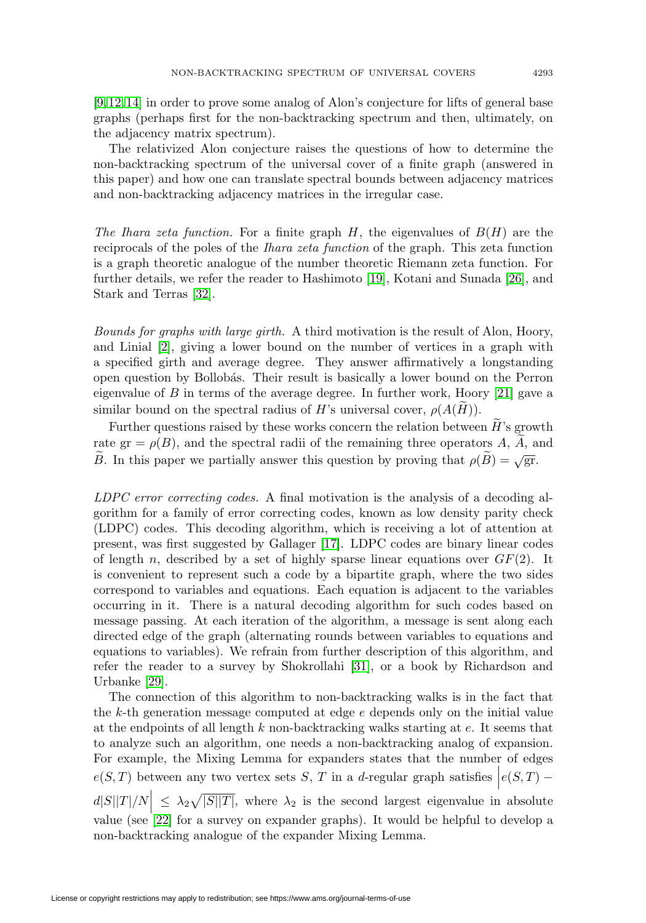[\[9,](#page-30-0) [12,](#page-30-9) [14\]](#page-30-2) in order to prove some analog of Alon's conjecture for lifts of general base graphs (perhaps first for the non-backtracking spectrum and then, ultimately, on the adjacency matrix spectrum).

The relativized Alon conjecture raises the questions of how to determine the non-backtracking spectrum of the universal cover of a finite graph (answered in this paper) and how one can translate spectral bounds between adjacency matrices and non-backtracking adjacency matrices in the irregular case.

The Ihara zeta function. For a finite graph  $H$ , the eigenvalues of  $B(H)$  are the reciprocals of the poles of the Ihara zeta function of the graph. This zeta function is a graph theoretic analogue of the number theoretic Riemann zeta function. For further details, we refer the reader to Hashimoto [\[19\]](#page-30-10), Kotani and Sunada [\[26\]](#page-31-5), and Stark and Terras [\[32\]](#page-31-6).

Bounds for graphs with large girth. A third motivation is the result of Alon, Hoory, and Linial [\[2\]](#page-30-11), giving a lower bound on the number of vertices in a graph with a specified girth and average degree. They answer affirmatively a longstanding open question by Bollob´as. Their result is basically a lower bound on the Perron eigenvalue of  $B$  in terms of the average degree. In further work, Hoory [\[21\]](#page-30-12) gave a similar bound on the spectral radius of H's universal cover,  $\rho(A(H))$ .

Further questions raised by these works concern the relation between  $H$ 's growth rate gr =  $\rho(B)$ , and the spectral radii of the remaining three operators A, A, and B. In this paper we partially answer this question by proving that  $\rho(\tilde{B}) = \sqrt{gr}$ .

LDPC error correcting codes. A final motivation is the analysis of a decoding algorithm for a family of error correcting codes, known as low density parity check (LDPC) codes. This decoding algorithm, which is receiving a lot of attention at present, was first suggested by Gallager [\[17\]](#page-30-13). LDPC codes are binary linear codes of length n, described by a set of highly sparse linear equations over  $GF(2)$ . It is convenient to represent such a code by a bipartite graph, where the two sides correspond to variables and equations. Each equation is adjacent to the variables occurring in it. There is a natural decoding algorithm for such codes based on message passing. At each iteration of the algorithm, a message is sent along each directed edge of the graph (alternating rounds between variables to equations and equations to variables). We refrain from further description of this algorithm, and refer the reader to a survey by Shokrollahi [\[31\]](#page-31-8), or a book by Richardson and Urbanke [\[29\]](#page-31-7).

The connection of this algorithm to non-backtracking walks is in the fact that the k-th generation message computed at edge  $e$  depends only on the initial value at the endpoints of all length  $k$  non-backtracking walks starting at  $e$ . It seems that to analyze such an algorithm, one needs a non-backtracking analog of expansion. For example, the Mixing Lemma for expanders states that the number of edges  $e(S,T)$  between any two vertex sets S, T in a d-regular graph satisfies  $\Big|e(S,T)$  $d|S||T|/N$   $\leq \lambda_2 \sqrt{|S||T|}$ , where  $\lambda_2$  is the second largest eigenvalue in absolute value (see [\[22\]](#page-30-15) for a survey on expander graphs). It would be helpful to develop a non-backtracking analogue of the expander Mixing Lemma.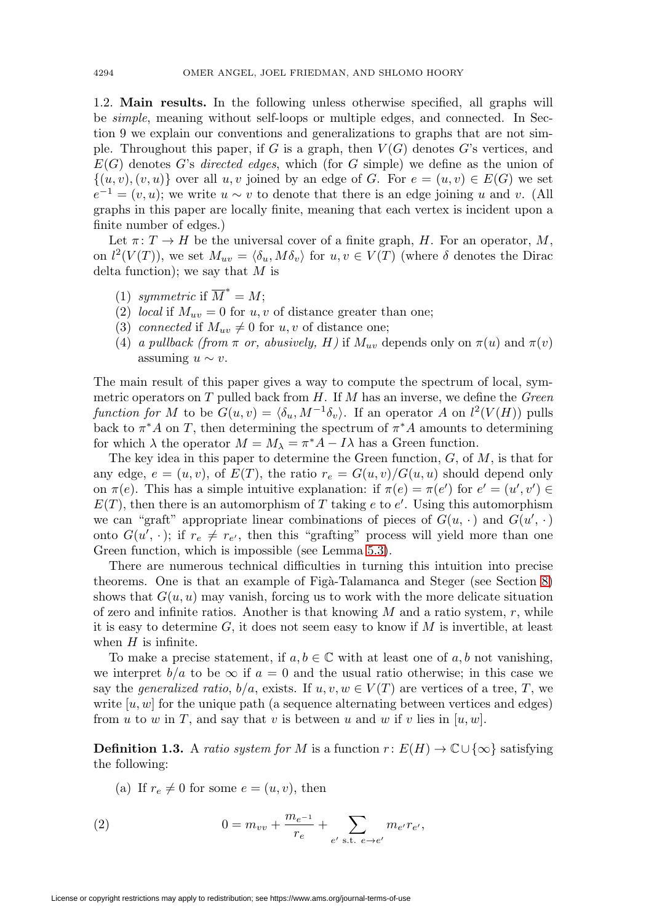1.2. **Main results.** In the following unless otherwise specified, all graphs will be simple, meaning without self-loops or multiple edges, and connected. In Section 9 we explain our conventions and generalizations to graphs that are not simple. Throughout this paper, if G is a graph, then  $V(G)$  denotes G's vertices, and  $E(G)$  denotes G's directed edges, which (for G simple) we define as the union of  $\{(u, v), (v, u)\}\$ over all  $u, v$  joined by an edge of G. For  $e = (u, v) \in E(G)$  we set  $e^{-1} = (v, u);$  we write  $u \sim v$  to denote that there is an edge joining u and v. (All graphs in this paper are locally finite, meaning that each vertex is incident upon a finite number of edges.)

Let  $\pi: T \to H$  be the universal cover of a finite graph, H. For an operator, M, on  $l^2(V(T))$ , we set  $M_{uv} = \langle \delta_u, M \delta_v \rangle$  for  $u, v \in V(T)$  (where  $\delta$  denotes the Dirac delta function); we say that  $M$  is

- (1) symmetric if  $\overline{M}^* = M$ ;
- (2) local if  $M_{uv} = 0$  for u, v of distance greater than one;
- (3) connected if  $M_{uv} \neq 0$  for  $u, v$  of distance one;
- (4) a pullback (from  $\pi$  or, abusively, H) if  $M_{uv}$  depends only on  $\pi(u)$  and  $\pi(v)$ assuming  $u \sim v$ .

The main result of this paper gives a way to compute the spectrum of local, symmetric operators on  $T$  pulled back from  $H$ . If  $M$  has an inverse, we define the *Green* function for M to be  $G(u, v) = \langle \delta_u, M^{-1} \delta_v \rangle$ . If an operator A on  $l^2(V(H))$  pulls back to  $\pi^*A$  on T, then determining the spectrum of  $\pi^*A$  amounts to determining for which  $\lambda$  the operator  $M = M_{\lambda} = \pi^* A - I \lambda$  has a Green function.

The key idea in this paper to determine the Green function,  $G$ , of  $M$ , is that for any edge,  $e = (u, v)$ , of  $E(T)$ , the ratio  $r_e = G(u, v)/G(u, u)$  should depend only on  $\pi(e)$ . This has a simple intuitive explanation: if  $\pi(e) = \pi(e')$  for  $e' = (u', v') \in$  $E(T)$ , then there is an automorphism of T taking e to e'. Using this automorphism we can "graft" appropriate linear combinations of pieces of  $G(u, \cdot)$  and  $G(u', \cdot)$ onto  $G(u', \cdot)$ ; if  $r_e \neq r_{e'}$ , then this "grafting" process will yield more than one Green function, which is impossible (see Lemma [5.3\)](#page-16-0).

There are numerous technical difficulties in turning this intuition into precise theorems. One is that an example of Figa-Talamanca and Steger (see Section [8\)](#page-26-0) shows that  $G(u, u)$  may vanish, forcing us to work with the more delicate situation of zero and infinite ratios. Another is that knowing  $M$  and a ratio system,  $r$ , while it is easy to determine  $G$ , it does not seem easy to know if  $M$  is invertible, at least when  $H$  is infinite.

To make a precise statement, if  $a, b \in \mathbb{C}$  with at least one of  $a, b$  not vanishing, we interpret  $b/a$  to be  $\infty$  if  $a = 0$  and the usual ratio otherwise; in this case we say the generalized ratio,  $b/a$ , exists. If  $u, v, w \in V(T)$  are vertices of a tree, T, we write  $[u, w]$  for the unique path (a sequence alternating between vertices and edges) from u to w in T, and say that v is between u and w if v lies in  $[u, w]$ .

<span id="page-7-1"></span>**Definition 1.3.** A ratio system for M is a function  $r: E(H) \to \mathbb{C} \cup \{\infty\}$  satisfying the following:

(a) If  $r_e \neq 0$  for some  $e = (u, v)$ , then

<span id="page-7-0"></span>(2) 
$$
0 = m_{vv} + \frac{m_{e^{-1}}}{r_e} + \sum_{e' \text{ s.t. } e \to e'} m_{e'} r_{e'},
$$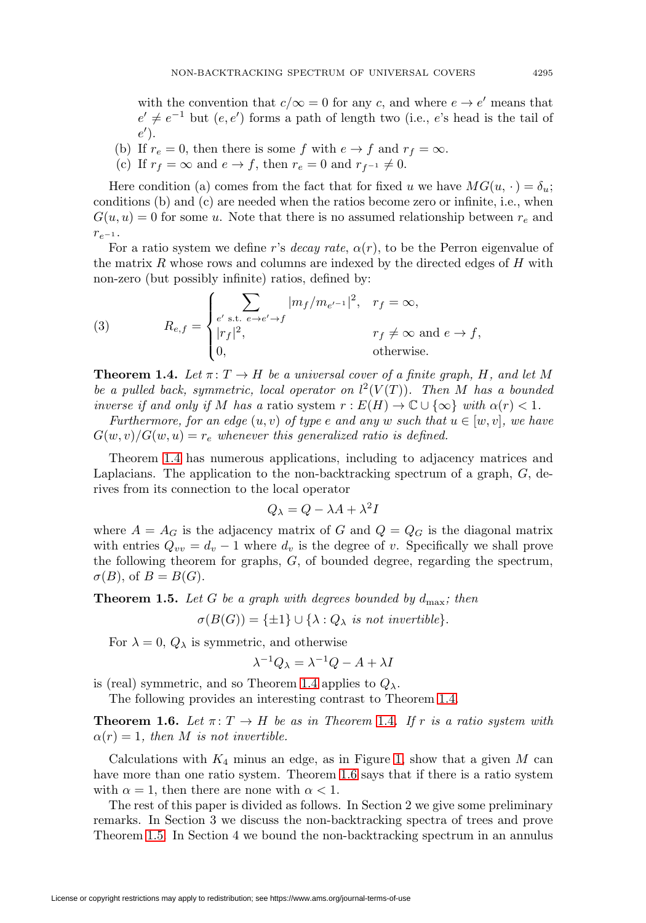with the convention that  $c/\infty = 0$  for any c, and where  $e \to e'$  means that  $e' \neq e^{-1}$  but  $(e, e')$  forms a path of length two (i.e., e's head is the tail of  $e'$ ).

- (b) If  $r_e = 0$ , then there is some f with  $e \rightarrow f$  and  $r_f = \infty$ .
- (c) If  $r_f = \infty$  and  $e \to f$ , then  $r_e = 0$  and  $r_{f^{-1}} \neq 0$ .

Here condition (a) comes from the fact that for fixed u we have  $MG(u, \cdot) = \delta_u$ ; conditions (b) and (c) are needed when the ratios become zero or infinite, i.e., when  $G(u, u) = 0$  for some u. Note that there is no assumed relationship between  $r_e$  and  $r_{e^{-1}}$ .

For a ratio system we define r's decay rate,  $\alpha(r)$ , to be the Perron eigenvalue of the matrix  $R$  whose rows and columns are indexed by the directed edges of  $H$  with non-zero (but possibly infinite) ratios, defined by:

<span id="page-8-3"></span>(3) 
$$
R_{e,f} = \begin{cases} \sum_{e' \text{ s.t. } e \to e' \to f} |m_f/m_{e'-1}|^2, & r_f = \infty, \\ |r_f|^2, & r_f \neq \infty \text{ and } e \to f, \\ 0, & \text{otherwise.} \end{cases}
$$

<span id="page-8-0"></span>**Theorem 1.4.** Let  $\pi: T \to H$  be a universal cover of a finite graph, H, and let M be a pulled back, symmetric, local operator on  $l^2(V(T))$ . Then M has a bounded inverse if and only if M has a ratio system  $r : E(H) \to \mathbb{C} \cup {\infty}$  with  $\alpha(r) < 1$ .

Furthermore, for an edge  $(u, v)$  of type e and any w such that  $u \in [w, v]$ , we have  $G(w, v)/G(w, u) = r_e$  whenever this generalized ratio is defined.

Theorem [1.4](#page-8-0) has numerous applications, including to adjacency matrices and Laplacians. The application to the non-backtracking spectrum of a graph, G, derives from its connection to the local operator

$$
Q_{\lambda} = Q - \lambda A + \lambda^2 I
$$

where  $A = A_G$  is the adjacency matrix of G and  $Q = Q_G$  is the diagonal matrix with entries  $Q_{vv} = d_v - 1$  where  $d_v$  is the degree of v. Specifically we shall prove the following theorem for graphs, G, of bounded degree, regarding the spectrum,  $\sigma(B)$ , of  $B = B(G)$ .

<span id="page-8-2"></span>**Theorem 1.5.** Let G be a graph with degrees bounded by  $d_{\text{max}}$ ; then

 $\sigma(B(G)) = {\pm 1} \cup {\lambda : Q_{\lambda} \text{ is not invertible}}.$ 

For  $\lambda = 0$ ,  $Q_{\lambda}$  is symmetric, and otherwise

$$
\lambda^{-1}Q_{\lambda} = \lambda^{-1}Q - A + \lambda I
$$

is (real) symmetric, and so Theorem [1.4](#page-8-0) applies to  $Q_{\lambda}$ .

The following provides an interesting contrast to Theorem [1.4.](#page-8-0)

<span id="page-8-1"></span>**Theorem 1.6.** Let  $\pi: T \to H$  be as in Theorem [1.4](#page-8-0). If r is a ratio system with  $\alpha(r)=1$ , then M is not invertible.

Calculations with  $K_4$  minus an edge, as in Figure [1,](#page-4-0) show that a given M can have more than one ratio system. Theorem [1.6](#page-8-1) says that if there is a ratio system with  $\alpha = 1$ , then there are none with  $\alpha < 1$ .

The rest of this paper is divided as follows. In Section 2 we give some preliminary remarks. In Section 3 we discuss the non-backtracking spectra of trees and prove Theorem [1.5.](#page-8-2) In Section 4 we bound the non-backtracking spectrum in an annulus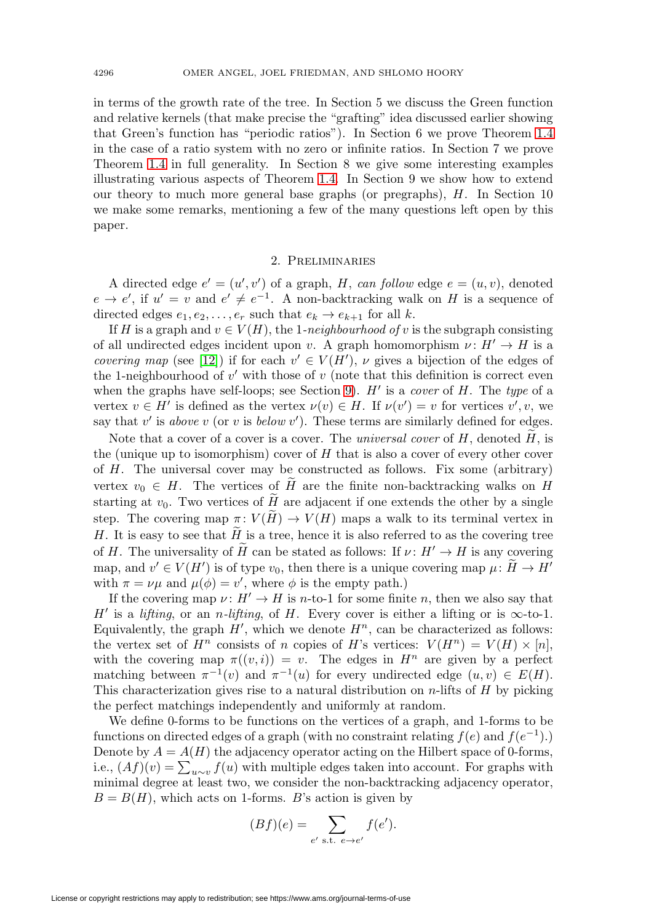in terms of the growth rate of the tree. In Section 5 we discuss the Green function and relative kernels (that make precise the "grafting" idea discussed earlier showing that Green's function has "periodic ratios"). In Section 6 we prove Theorem [1.4](#page-8-0) in the case of a ratio system with no zero or infinite ratios. In Section 7 we prove Theorem [1.4](#page-8-0) in full generality. In Section 8 we give some interesting examples illustrating various aspects of Theorem [1.4.](#page-8-0) In Section 9 we show how to extend our theory to much more general base graphs (or pregraphs), H. In Section 10 we make some remarks, mentioning a few of the many questions left open by this paper.

#### 2. Preliminaries

<span id="page-9-0"></span>A directed edge  $e' = (u', v')$  of a graph, H, can follow edge  $e = (u, v)$ , denoted  $e \to e'$ , if  $u' = v$  and  $e' \neq e^{-1}$ . A non-backtracking walk on H is a sequence of directed edges  $e_1, e_2, \ldots, e_r$  such that  $e_k \to e_{k+1}$  for all k.

If H is a graph and  $v \in V(H)$ , the 1-neighbourhood of v is the subgraph consisting of all undirected edges incident upon v. A graph homomorphism  $\nu : H' \to H$  is a *covering map* (see [\[12\]](#page-30-9)) if for each  $v' \in V(H')$ ,  $\nu$  gives a bijection of the edges of the 1-neighbourhood of v' with those of v (note that this definition is correct even when the graphs have self-loops; see Section [9\)](#page-27-0).  $H'$  is a *cover* of  $H$ . The type of a vertex  $v \in H'$  is defined as the vertex  $\nu(v) \in H$ . If  $\nu(v') = v$  for vertices  $v', v$ , we say that  $v'$  is above v (or v is below  $v'$ ). These terms are similarly defined for edges.

Note that a cover of a cover is a cover. The universal cover of  $H$ , denoted  $H$ , is the (unique up to isomorphism) cover of  $H$  that is also a cover of every other cover of H. The universal cover may be constructed as follows. Fix some (arbitrary) vertex  $v_0 \in H$ . The vertices of H are the finite non-backtracking walks on H starting at  $v_0$ . Two vertices of  $H$  are adjacent if one extends the other by a single step. The covering map  $\pi: V(H) \to V(H)$  maps a walk to its terminal vertex in H. It is easy to see that  $H_{\sim}$  is a tree, hence it is also referred to as the covering tree of H. The universality of H can be stated as follows: If  $\nu : H' \to H$  is any covering map, and  $v' \in V(H')$  is of type  $v_0$ , then there is a unique covering map  $\mu: H \to H'$ with  $\pi = \nu\mu$  and  $\mu(\phi) = v'$ , where  $\phi$  is the empty path.)

If the covering map  $\nu : H' \to H$  is n-to-1 for some finite n, then we also say that H' is a lifting, or an n-lifting, of H. Every cover is either a lifting or is  $\infty$ -to-1. Equivalently, the graph  $H'$ , which we denote  $H^n$ , can be characterized as follows: the vertex set of  $H^n$  consists of n copies of H's vertices:  $V(H^n) = V(H) \times [n]$ , with the covering map  $\pi((v, i)) = v$ . The edges in  $H^n$  are given by a perfect matching between  $\pi^{-1}(v)$  and  $\pi^{-1}(u)$  for every undirected edge  $(u, v) \in E(H)$ . This characterization gives rise to a natural distribution on  $n$ -lifts of  $H$  by picking the perfect matchings independently and uniformly at random.

We define 0-forms to be functions on the vertices of a graph, and 1-forms to be functions on directed edges of a graph (with no constraint relating  $f(e)$  and  $f(e^{-1})$ .) Denote by  $A = A(H)$  the adjacency operator acting on the Hilbert space of 0-forms, i.e.,  $(Af)(v) = \sum_{u \sim v} f(u)$  with multiple edges taken into account. For graphs with minimal degree at least two, we consider the non-backtracking adjacency operator,  $B = B(H)$ , which acts on 1-forms. B's action is given by

$$
(Bf)(e) = \sum_{e' \text{ s.t. } e \to e'} f(e').
$$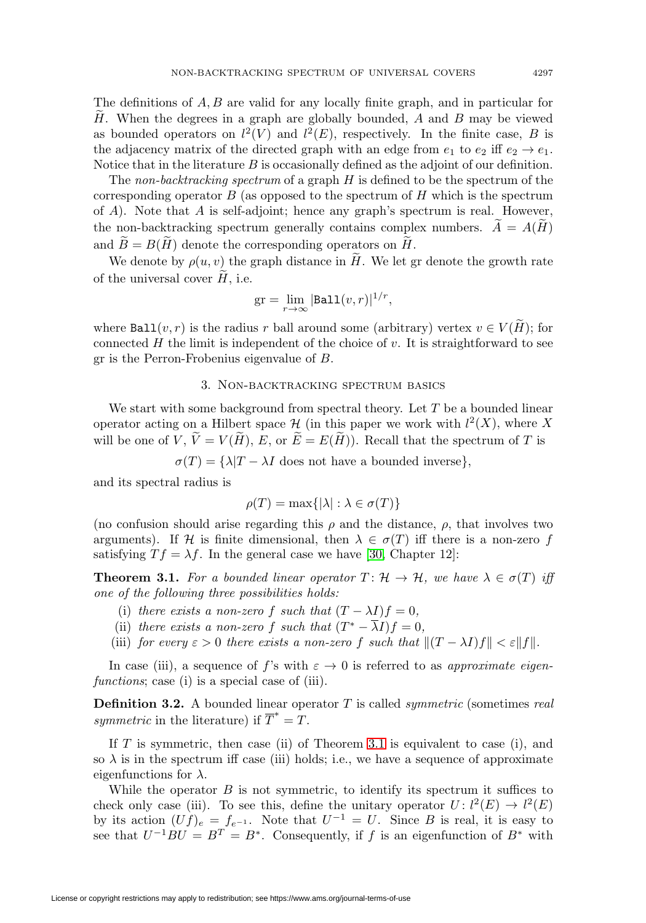The definitions of  $A, B$  are valid for any locally finite graph, and in particular for H. When the degrees in a graph are globally bounded,  $A$  and  $B$  may be viewed as bounded operators on  $l^2(V)$  and  $l^2(E)$ , respectively. In the finite case, B is the adjacency matrix of the directed graph with an edge from  $e_1$  to  $e_2$  iff  $e_2 \rightarrow e_1$ . Notice that in the literature  $B$  is occasionally defined as the adjoint of our definition.

The non-backtracking spectrum of a graph  $H$  is defined to be the spectrum of the corresponding operator  $B$  (as opposed to the spectrum of  $H$  which is the spectrum of A). Note that A is self-adjoint; hence any graph's spectrum is real. However, the non-backtracking spectrum generally contains complex numbers.  $A = A(H)$ and  $B = B(H)$  denote the corresponding operators on H.

We denote by  $\rho(u, v)$  the graph distance in H. We let gr denote the growth rate of the universal cover  $H$ , i.e.

$$
\operatorname{gr} = \lim_{r \to \infty} |\texttt{Ball}(v, r)|^{1/r},
$$

where  $\texttt{Ball}(v,r)$  is the radius r ball around some (arbitrary) vertex  $v \in V(H)$ ; for connected  $H$  the limit is independent of the choice of  $v$ . It is straightforward to see gr is the Perron-Frobenius eigenvalue of B.

### 3. Non-backtracking spectrum basics

We start with some background from spectral theory. Let  $T$  be a bounded linear operator acting on a Hilbert space  $\mathcal H$  (in this paper we work with  $l^2(X)$ , where X will be one of  $V, V = V(H), E$ , or  $E = E(H)$ ). Recall that the spectrum of T is

 $\sigma(T) = {\lambda}T - {\lambda}I$  does not have a bounded inverse},

and its spectral radius is

$$
\rho(T) = \max\{|\lambda| : \lambda \in \sigma(T)\}\
$$

(no confusion should arise regarding this  $\rho$  and the distance,  $\rho$ , that involves two arguments). If H is finite dimensional, then  $\lambda \in \sigma(T)$  iff there is a non-zero f satisfying  $Tf = \lambda f$ . In the general case we have [\[30,](#page-31-9) Chapter 12]:

<span id="page-10-0"></span>**Theorem 3.1.** For a bounded linear operator  $T: \mathcal{H} \to \mathcal{H}$ , we have  $\lambda \in \sigma(T)$  iff one of the following three possibilities holds:

- (i) there exists a non-zero f such that  $(T \lambda I)f = 0$ ,
- (ii) there exists a non-zero f such that  $(T^* \overline{\lambda}I)f = 0$ ,
- (iii) for every  $\varepsilon > 0$  there exists a non-zero f such that  $||(T \lambda I)f|| < \varepsilon ||f||$ .

In case (iii), a sequence of f's with  $\varepsilon \to 0$  is referred to as approximate eigenfunctions; case (i) is a special case of (iii).

**Definition 3.2.** A bounded linear operator T is called *symmetric* (sometimes real symmetric in the literature) if  $\overline{T}^* = T$ .

If  $T$  is symmetric, then case (ii) of Theorem [3.1](#page-10-0) is equivalent to case (i), and so  $\lambda$  is in the spectrum iff case (iii) holds; i.e., we have a sequence of approximate eigenfunctions for  $\lambda$ .

While the operator  $B$  is not symmetric, to identify its spectrum it suffices to check only case (iii). To see this, define the unitary operator  $U: l^2(E) \to l^2(E)$ by its action  $(Uf)_e = f_{e^{-1}}$ . Note that  $U^{-1} = U$ . Since B is real, it is easy to see that  $U^{-1}BU = B^T = B^*$ . Consequently, if f is an eigenfunction of  $B^*$  with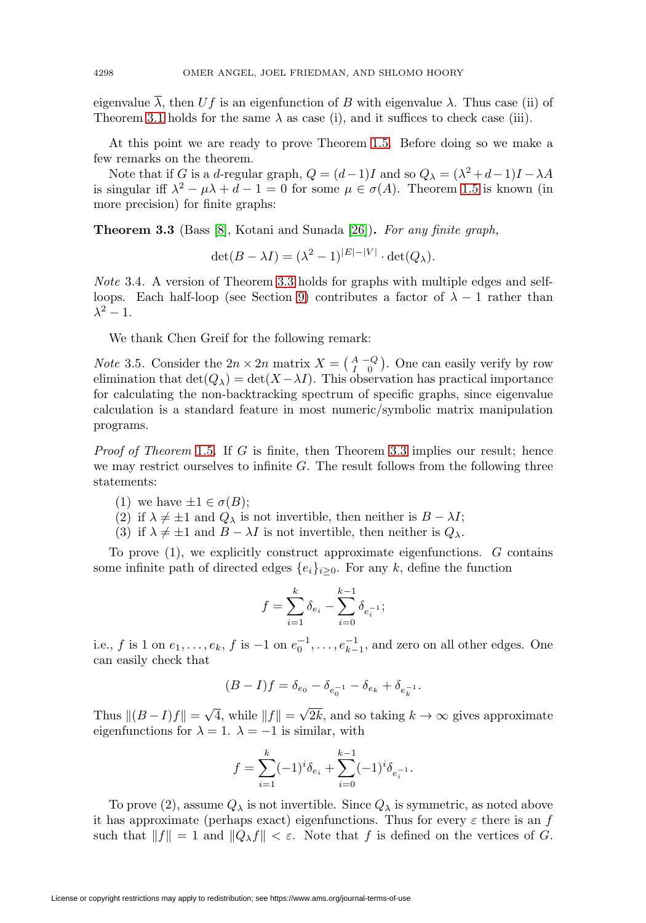eigenvalue  $\overline{\lambda}$ , then U f is an eigenfunction of B with eigenvalue  $\lambda$ . Thus case (ii) of Theorem [3.1](#page-10-0) holds for the same  $\lambda$  as case (i), and it suffices to check case (iii).

At this point we are ready to prove Theorem [1.5.](#page-8-2) Before doing so we make a few remarks on the theorem.

Note that if G is a d-regular graph,  $Q = (d-1)I$  and so  $Q_{\lambda} = (\lambda^2 + d - 1)I - \lambda A$ is singular iff  $\lambda^2 - \mu \lambda + d - 1 = 0$  for some  $\mu \in \sigma(A)$ . Theorem [1.5](#page-8-2) is known (in more precision) for finite graphs:

<span id="page-11-0"></span>**Theorem 3.3** (Bass [\[8\]](#page-30-16), Kotani and Sunada [\[26\]](#page-31-5))**.** For any finite graph,

$$
\det(B - \lambda I) = (\lambda^2 - 1)^{|E| - |V|} \cdot \det(Q_\lambda).
$$

Note 3.4. A version of Theorem [3.3](#page-11-0) holds for graphs with multiple edges and self-loops. Each half-loop (see Section [9\)](#page-27-0) contributes a factor of  $\lambda - 1$  rather than  $\lambda^2-1$ .

We thank Chen Greif for the following remark:

*Note* 3.5. Consider the  $2n \times 2n$  matrix  $X = \begin{pmatrix} A & -Q \\ I & 0 \end{pmatrix}$ . One can easily verify by row elimination that  $\det(Q_\lambda) = \det(X - \lambda I)$ . This observation has practical importance for calculating the non-backtracking spectrum of specific graphs, since eigenvalue calculation is a standard feature in most numeric/symbolic matrix manipulation programs.

Proof of Theorem [1.5](#page-8-2). If G is finite, then Theorem [3.3](#page-11-0) implies our result; hence we may restrict ourselves to infinite  $G$ . The result follows from the following three statements:

- (1) we have  $\pm 1 \in \sigma(B)$ ;
- (2) if  $\lambda \neq \pm 1$  and  $Q_{\lambda}$  is not invertible, then neither is  $B \lambda I$ ;
- (3) if  $\lambda \neq \pm 1$  and  $B \lambda I$  is not invertible, then neither is  $Q_{\lambda}$ .

To prove (1), we explicitly construct approximate eigenfunctions. G contains some infinite path of directed edges  ${e_i}_{i\geq 0}$ . For any k, define the function

$$
f = \sum_{i=1}^{k} \delta_{e_i} - \sum_{i=0}^{k-1} \delta_{e_i^{-1}};
$$

i.e., f is 1 on  $e_1, \ldots, e_k$ , f is  $-1$  on  $e_0^{-1}, \ldots, e_{k-1}^{-1}$ , and zero on all other edges. One can easily check that

$$
(B - I)f = \delta_{e_0} - \delta_{e_0^{-1}} - \delta_{e_k} + \delta_{e_k^{-1}}.
$$

Thus  $||(B - I)f|| = \sqrt{4}$ , while  $||f|| = \sqrt{2k}$ , and so taking  $k \to \infty$  gives approximate eigenfunctions for  $\lambda = 1$ .  $\lambda = -1$  is similar, with

$$
f = \sum_{i=1}^{k} (-1)^{i} \delta_{e_i} + \sum_{i=0}^{k-1} (-1)^{i} \delta_{e_i^{-1}}.
$$

To prove (2), assume  $Q_{\lambda}$  is not invertible. Since  $Q_{\lambda}$  is symmetric, as noted above it has approximate (perhaps exact) eigenfunctions. Thus for every  $\varepsilon$  there is an f such that  $||f|| = 1$  and  $||Q_\lambda f|| < \varepsilon$ . Note that f is defined on the vertices of G.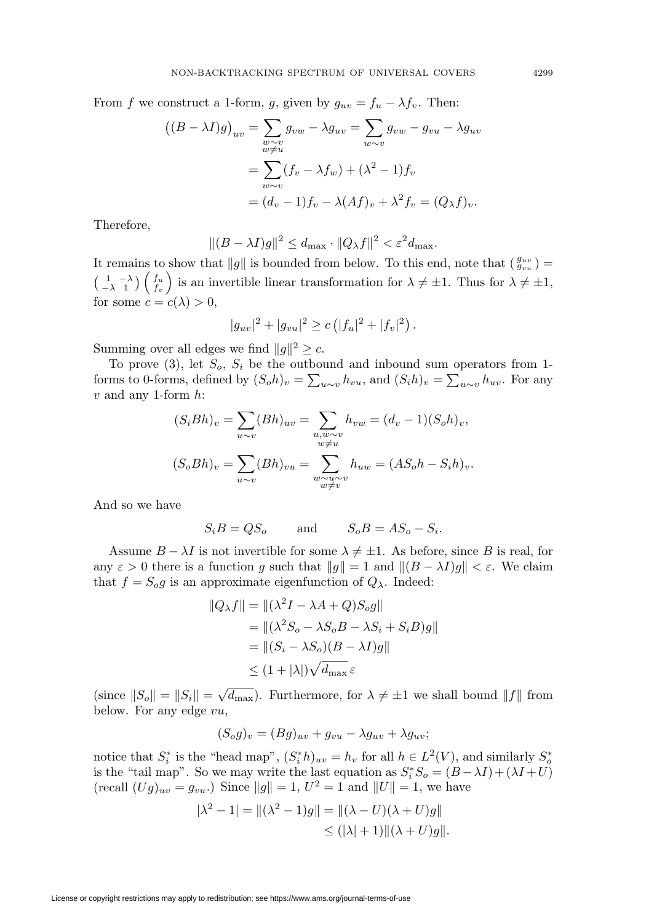From f we construct a 1-form, g, given by  $g_{uv} = f_u - \lambda f_v$ . Then:

$$
((B - \lambda I)g)_{uv} = \sum_{\substack{w \sim v \\ w \neq u}} g_{vw} - \lambda g_{uv} = \sum_{w \sim v} g_{vw} - g_{vu} - \lambda g_{uv}
$$

$$
= \sum_{w \sim v} (f_v - \lambda f_w) + (\lambda^2 - 1) f_v
$$

$$
= (d_v - 1) f_v - \lambda (Af)_v + \lambda^2 f_v = (Q_\lambda f)_v.
$$

Therefore,

$$
||(B - \lambda I)g||^2 \le d_{\text{max}} \cdot ||Q_\lambda f||^2 < \varepsilon^2 d_{\text{max}}.
$$

It remains to show that  $||g||$  is bounded from below. To this end, note that  $\left(\frac{g_{uv}}{g_{vu}}\right)$  =  $\begin{pmatrix} 1 & -\lambda \\ -\lambda & 1 \end{pmatrix} \begin{pmatrix} f_u \\ f_v \end{pmatrix}$ is an invertible linear transformation for  $\lambda \neq \pm 1$ . Thus for  $\lambda \neq \pm 1$ , for some  $c = c(\lambda) > 0$ ,

$$
|g_{uv}|^2 + |g_{vu}|^2 \ge c \left( |f_u|^2 + |f_v|^2 \right).
$$

Summing over all edges we find  $||g||^2 \geq c$ .

To prove  $(3)$ , let  $S_o$ ,  $S_i$  be the outbound and inbound sum operators from 1forms to 0-forms, defined by  $(S_0 h)_v = \sum_{u \sim v} h_{vu}$ , and  $(S_i h)_v = \sum_{u \sim v} h_{uv}$ . For any  $v$  and any 1-form  $h$ :

$$
(S_i Bh)_v = \sum_{u \sim v} (Bh)_{uv} = \sum_{\substack{u, w \sim v \\ w \neq u}} h_{vw} = (d_v - 1)(S_o h)_v,
$$
  

$$
(S_o Bh)_v = \sum_{u \sim v} (Bh)_{vu} = \sum_{\substack{w \sim u \sim v \\ w \neq v}} h_{uw} = (AS_o h - S_i h)_v.
$$

And so we have

$$
S_i B = QS_o \qquad \text{and} \qquad S_o B = AS_o - S_i.
$$

Assume  $B - \lambda I$  is not invertible for some  $\lambda \neq \pm 1$ . As before, since B is real, for any  $\varepsilon > 0$  there is a function g such that  $||g|| = 1$  and  $||(B - \lambda I)g|| < \varepsilon$ . We claim that  $f = S_o g$  is an approximate eigenfunction of  $Q_{\lambda}$ . Indeed:

$$
||Q_{\lambda}f|| = ||(\lambda^2 I - \lambda A + Q)S_o g||
$$
  
= 
$$
||(\lambda^2 S_o - \lambda S_o B - \lambda S_i + S_i B)g||
$$
  
= 
$$
||(S_i - \lambda S_o)(B - \lambda I)g||
$$
  

$$
\leq (1 + |\lambda|)\sqrt{d_{\max}} \varepsilon
$$

(since  $||S_o|| = ||S_i|| = \sqrt{d_{\text{max}}}$ ). Furthermore, for  $\lambda \neq \pm 1$  we shall bound  $||f||$  from below. For any edge vu,

$$
(S_o g)_v = (Bg)_{uv} + g_{vu} - \lambda g_{uv} + \lambda g_{uv};
$$

notice that  $S_i^*$  is the "head map",  $(S_i^* h)_{uv} = h_v$  for all  $h \in L^2(V)$ , and similarly  $S_o^*$ is the "tail map". So we may write the last equation as  $S_i^* S_o = (B - \lambda I) + (\lambda I + U)$ (recall  $(Ug)_{uv} = g_{vu}$ .) Since  $||g|| = 1, U^2 = 1$  and  $||U|| = 1$ , we have

$$
|\lambda^2 - 1| = ||(\lambda^2 - 1)g|| = ||(\lambda - U)(\lambda + U)g||
$$
  
\n
$$
\leq (|\lambda| + 1) ||(\lambda + U)g||.
$$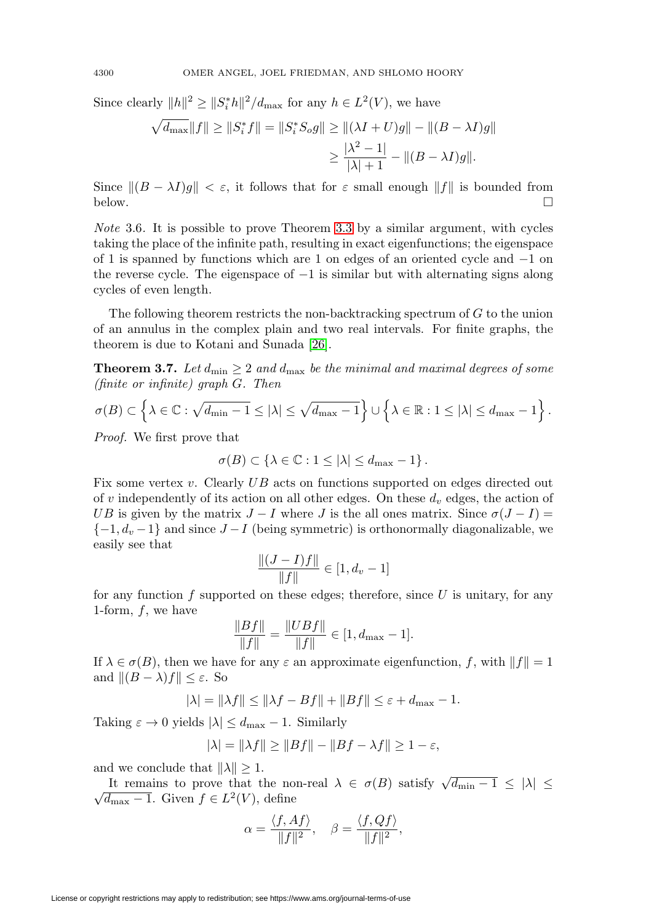Since clearly  $||h||^2 \ge ||S_i^* h||^2 / d_{\text{max}}$  for any  $h \in L^2(V)$ , we have

$$
\sqrt{d_{\max}} \|f\| \ge \|S_i^* f\| = \|S_i^* S_o g\| \ge \|(\lambda I + U)g\| - \|(B - \lambda I)g\|
$$
  

$$
\ge \frac{|\lambda^2 - 1|}{|\lambda| + 1} - \|(B - \lambda I)g\|.
$$

Since  $\|(B - \lambda I)g\| < \varepsilon$ , it follows that for  $\varepsilon$  small enough  $\|f\|$  is bounded from below.  $\Box$  $\Box$ 

Note 3.6. It is possible to prove Theorem [3.3](#page-11-0) by a similar argument, with cycles taking the place of the infinite path, resulting in exact eigenfunctions; the eigenspace of 1 is spanned by functions which are 1 on edges of an oriented cycle and −1 on the reverse cycle. The eigenspace of  $-1$  is similar but with alternating signs along cycles of even length.

The following theorem restricts the non-backtracking spectrum of G to the union of an annulus in the complex plain and two real intervals. For finite graphs, the theorem is due to Kotani and Sunada [\[26\]](#page-31-5).

<span id="page-13-0"></span>**Theorem 3.7.** Let  $d_{\min} \geq 2$  and  $d_{\max}$  be the minimal and maximal degrees of some (finite or infinite) graph G. Then

$$
\sigma(B) \subset \left\{\lambda \in \mathbb{C} : \sqrt{d_{\min} - 1} \leq |\lambda| \leq \sqrt{d_{\max} - 1} \right\} \cup \left\{\lambda \in \mathbb{R} : 1 \leq |\lambda| \leq d_{\max} - 1 \right\}.
$$

Proof. We first prove that

$$
\sigma(B) \subset \left\{\lambda \in \mathbb{C} : 1 \leq |\lambda| \leq d_{\max} - 1 \right\}.
$$

Fix some vertex v. Clearly UB acts on functions supported on edges directed out of v independently of its action on all other edges. On these  $d_v$  edges, the action of UB is given by the matrix  $J - I$  where J is the all ones matrix. Since  $\sigma(J - I) =$  $\{-1, d_v -1\}$  and since  $J-I$  (being symmetric) is orthonormally diagonalizable, we easily see that

$$
\frac{\|(J-I)f\|}{\|f\|} \in [1, d_v - 1]
$$

for any function f supported on these edges; therefore, since  $U$  is unitary, for any 1-form,  $f$ , we have

$$
\frac{\|Bf\|}{\|f\|} = \frac{\|UBf\|}{\|f\|} \in [1, d_{\max} - 1].
$$

If  $\lambda \in \sigma(B)$ , then we have for any  $\varepsilon$  an approximate eigenfunction, f, with  $||f|| = 1$ and  $||(B - \lambda)f|| \leq \varepsilon$ . So

$$
|\lambda| = \|\lambda f\| \le \|\lambda f - Bf\| + \|Bf\| \le \varepsilon + d_{\max} - 1.
$$

Taking  $\varepsilon \to 0$  yields  $|\lambda| \leq d_{\text{max}} - 1$ . Similarly

$$
|\lambda| = \|\lambda f\| \ge \|Bf\| - \|Bf - \lambda f\| \ge 1 - \varepsilon,
$$

and we conclude that  $\|\lambda\| > 1$ .

It remains to prove that the non-real  $\lambda \in \sigma(B)$  satisfy  $\sqrt{d_{\min} - 1} \leq |\lambda| \leq$  $\sqrt{d_{\max} - 1}$ . Given  $f \in L^2(V)$ , define

$$
\alpha = \frac{\langle f, Af \rangle}{\|f\|^2}, \quad \beta = \frac{\langle f, Qf \rangle}{\|f\|^2},
$$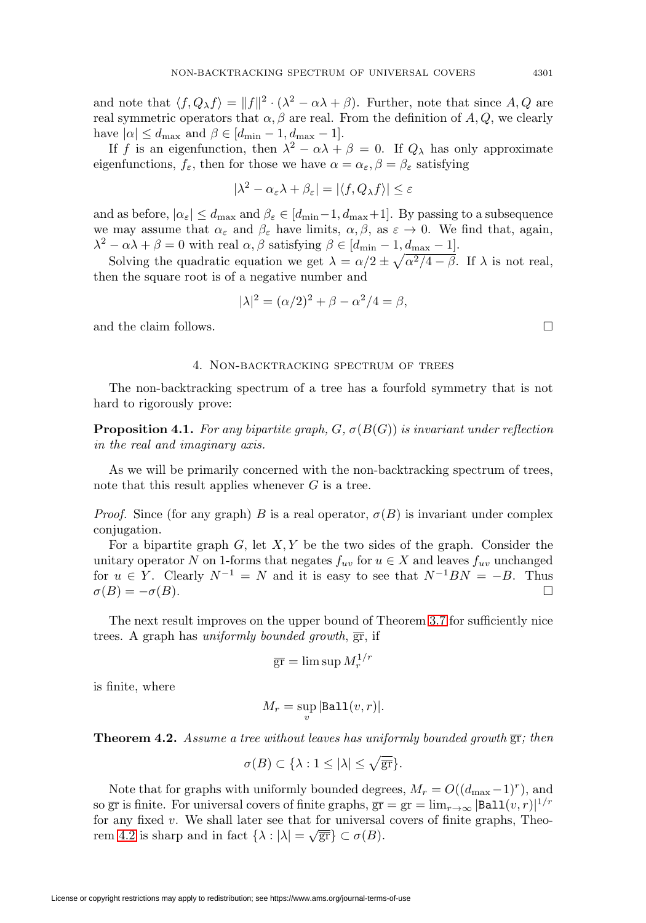and note that  $\langle f, Q_{\lambda} f \rangle = ||f||^2 \cdot (\lambda^2 - \alpha \lambda + \beta)$ . Further, note that since A, Q are real symmetric operators that  $\alpha, \beta$  are real. From the definition of A, Q, we clearly have  $|\alpha| \le d_{\text{max}}$  and  $\beta \in [d_{\text{min}} - 1, d_{\text{max}} - 1]$ .

If f is an eigenfunction, then  $\lambda^2 - \alpha \lambda + \beta = 0$ . If  $Q_\lambda$  has only approximate eigenfunctions,  $f_{\varepsilon}$ , then for those we have  $\alpha = \alpha_{\varepsilon}, \beta = \beta_{\varepsilon}$  satisfying

$$
|\lambda^2-\alpha_\varepsilon\lambda+\beta_\varepsilon|=|\langle f,Q_\lambda f\rangle|\leq\varepsilon
$$

and as before,  $|\alpha_{\varepsilon}| \leq d_{\max}$  and  $\beta_{\varepsilon} \in [d_{\min}-1, d_{\max}+1]$ . By passing to a subsequence we may assume that  $\alpha_{\varepsilon}$  and  $\beta_{\varepsilon}$  have limits,  $\alpha, \beta$ , as  $\varepsilon \to 0$ . We find that, again,  $\lambda^2 - \alpha \lambda + \beta = 0$  with real  $\alpha, \beta$  satisfying  $\beta \in [d_{\min} - 1, d_{\max} - 1].$ 

Solving the quadratic equation we get  $\lambda = \alpha/2 \pm \sqrt{\alpha^2/4 - \beta}$ . If  $\lambda$  is not real, then the square root is of a negative number and

$$
|\lambda|^2 = (\alpha/2)^2 + \beta - \alpha^2/4 = \beta,
$$

and the claim follows.  $\Box$ 

#### 4. Non-backtracking spectrum of trees

The non-backtracking spectrum of a tree has a fourfold symmetry that is not hard to rigorously prove:

**Proposition 4.1.** For any bipartite graph,  $G$ ,  $\sigma(B(G))$  is invariant under reflection in the real and imaginary axis.

As we will be primarily concerned with the non-backtracking spectrum of trees, note that this result applies whenever  $G$  is a tree.

*Proof.* Since (for any graph) B is a real operator,  $\sigma(B)$  is invariant under complex conjugation.

For a bipartite graph  $G$ , let  $X, Y$  be the two sides of the graph. Consider the unitary operator N on 1-forms that negates  $f_{uv}$  for  $u \in X$  and leaves  $f_{uv}$  unchanged for  $u \in Y$ . Clearly  $N^{-1} = N$  and it is easy to see that  $N^{-1}BN = -B$ . Thus  $\sigma(B) = -\sigma(B).$ 

The next result improves on the upper bound of Theorem [3.7](#page-13-0) for sufficiently nice trees. A graph has uniformly bounded growth,  $\overline{gr}$ , if

$$
\overline{\text{gr}} = \limsup M_r^{1/r}
$$

is finite, where

$$
M_r = \sup_v |\mathtt{Ball}(v,r)|.
$$

<span id="page-14-0"></span>**Theorem 4.2.** Assume a tree without leaves has uniformly bounded growth  $\overline{gr}$ ; then

$$
\sigma(B) \subset \{\lambda: 1 \leq |\lambda| \leq \sqrt{\overline{\rm gr}}\}.
$$

Note that for graphs with uniformly bounded degrees,  $M_r = O((d_{\text{max}}-1)^r)$ , and so  $\overline{gr}$  is finite. For universal covers of finite graphs,  $\overline{gr} = gr = \lim_{r \to \infty} |\text{Ball}(v, r)|^{1/r}$ for any fixed  $v$ . We shall later see that for universal covers of finite graphs, Theo-rem [4.2](#page-14-0) is sharp and in fact  $\{\lambda : |\lambda| = \sqrt{\overline{\text{gr}}}\}\subset \sigma(B)$ .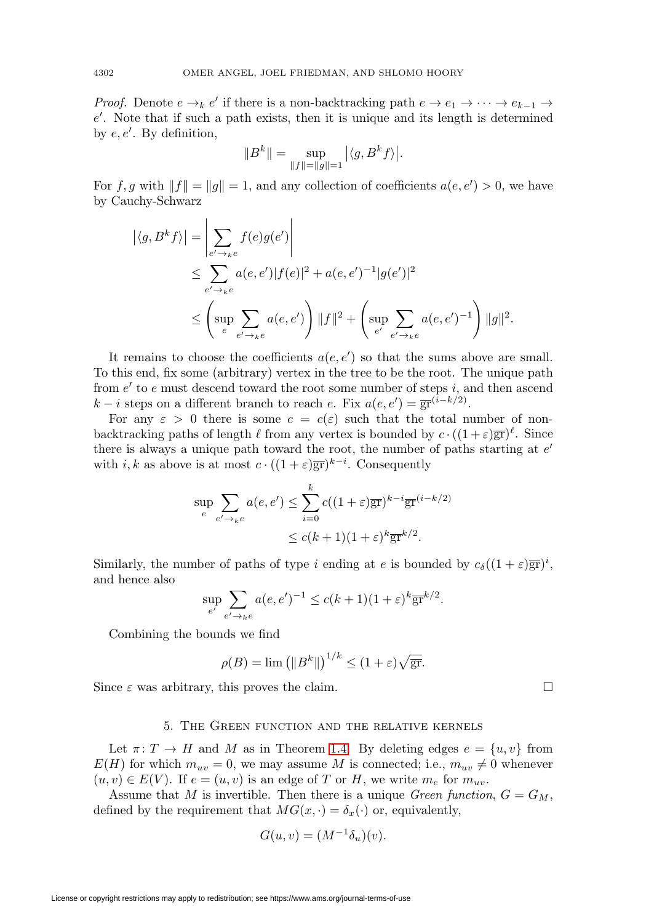*Proof.* Denote  $e \to_k e'$  if there is a non-backtracking path  $e \to e_1 \to \cdots \to e_{k-1} \to$ e . Note that if such a path exists, then it is unique and its length is determined by  $e, e'$ . By definition,

$$
\|B^k\|=\sup_{\|f\|=\|g\|=1}\big|\langle g,B^kf\rangle\big|.
$$

For f, g with  $||f|| = ||g|| = 1$ , and any collection of coefficients  $a(e, e') > 0$ , we have by Cauchy-Schwarz

$$
\begin{aligned} \left| \langle g, B^k f \rangle \right| &= \left| \sum_{e' \to_k e} f(e) g(e') \right| \\ &\le \sum_{e' \to_k e} a(e, e') |f(e)|^2 + a(e, e')^{-1} |g(e')|^2 \\ &\le \left( \sup_e \sum_{e' \to_k e} a(e, e') \right) \|f\|^2 + \left( \sup_{e'} \sum_{e' \to_k e} a(e, e')^{-1} \right) \|g\|^2. \end{aligned}
$$

It remains to choose the coefficients  $a(e, e')$  so that the sums above are small. To this end, fix some (arbitrary) vertex in the tree to be the root. The unique path from  $e'$  to e must descend toward the root some number of steps i, and then ascend  $k - i$  steps on a different branch to reach e. Fix  $a(e, e') = \overline{gr}^{(i-k/2)}$ .

For any  $\varepsilon > 0$  there is some  $c = c(\varepsilon)$  such that the total number of nonbacktracking paths of length  $\ell$  from any vertex is bounded by  $c \cdot ((1 + \varepsilon) \overline{\text{gr}})^{\ell}$ . Since there is always a unique path toward the root, the number of paths starting at  $e'$ with i, k as above is at most  $c \cdot ((1 + \varepsilon) \overline{\text{gr}})^{k-i}$ . Consequently

$$
\sup_{e} \sum_{e' \to ke} a(e, e') \le \sum_{i=0}^{k} c((1+\varepsilon)\overline{\text{gr}})^{k-i} \overline{\text{gr}}^{(i-k/2)}
$$

$$
\le c(k+1)(1+\varepsilon)^k \overline{\text{gr}}^{k/2}.
$$

Similarly, the number of paths of type i ending at e is bounded by  $c_{\delta}((1+\varepsilon)\overline{\text{gr}})^{i}$ , and hence also

$$
\sup_{e'} \sum_{e' \to_k e} a(e, e')^{-1} \le c(k+1)(1+\varepsilon)^k \overline{\text{gr}}^{k/2}.
$$

Combining the bounds we find

$$
\rho(B) = \lim \left( \|B^k\| \right)^{1/k} \le (1+\varepsilon)\sqrt{\overline{\text{gr}}}.
$$

Since  $\varepsilon$  was arbitrary, this proves the claim.  $\square$ 

#### 5. The Green function and the relative kernels

Let  $\pi: T \to H$  and M as in Theorem [1.4.](#page-8-0) By deleting edges  $e = \{u, v\}$  from  $E(H)$  for which  $m_{uv} = 0$ , we may assume M is connected; i.e.,  $m_{uv} \neq 0$  whenever  $(u, v) \in E(V)$ . If  $e = (u, v)$  is an edge of T or H, we write  $m_e$  for  $m_{uv}$ .

Assume that M is invertible. Then there is a unique Green function,  $G = G_M$ , defined by the requirement that  $MG(x, \cdot) = \delta_x(\cdot)$  or, equivalently,

$$
G(u, v) = (M^{-1}\delta_u)(v).
$$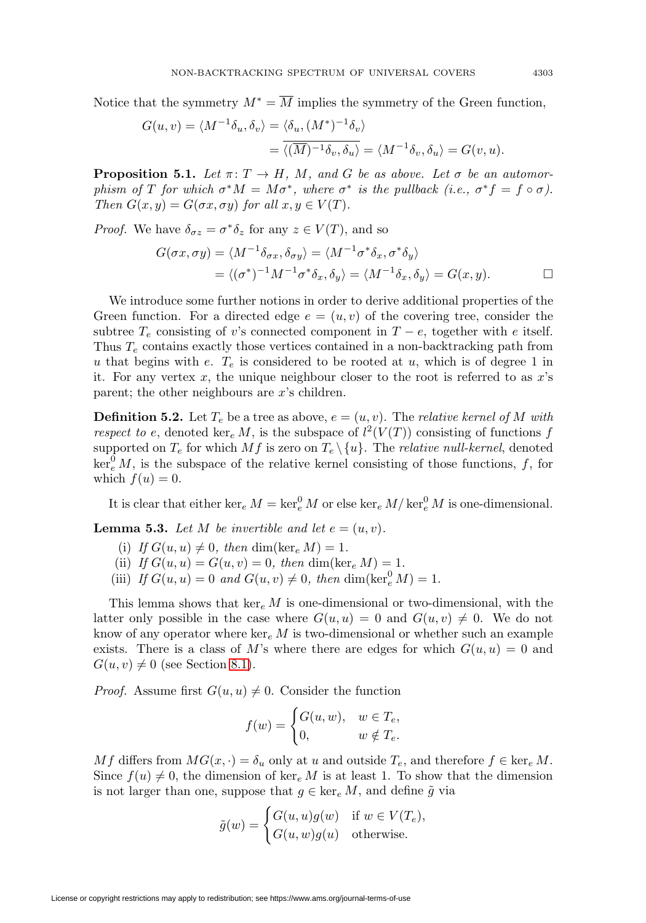Notice that the symmetry  $M^* = \overline{M}$  implies the symmetry of the Green function,

$$
G(u, v) = \langle M^{-1} \delta_u, \delta_v \rangle = \langle \delta_u, (M^*)^{-1} \delta_v \rangle
$$
  
=  $\overline{\langle (\overline{M})^{-1} \delta_v, \delta_u \rangle} = \langle M^{-1} \delta_v, \delta_u \rangle = G(v, u).$ 

<span id="page-16-1"></span>**Proposition 5.1.** Let  $\pi: T \to H$ , M, and G be as above. Let  $\sigma$  be an automorphism of T for which  $\sigma^*M = M\sigma^*$ , where  $\sigma^*$  is the pullback (i.e.,  $\sigma^*f = f \circ \sigma$ ). Then  $G(x, y) = G(\sigma x, \sigma y)$  for all  $x, y \in V(T)$ .

*Proof.* We have  $\delta_{\sigma z} = \sigma^* \delta_z$  for any  $z \in V(T)$ , and so

$$
G(\sigma x, \sigma y) = \langle M^{-1} \delta_{\sigma x}, \delta_{\sigma y} \rangle = \langle M^{-1} \sigma^* \delta_x, \sigma^* \delta_y \rangle
$$
  
=  $\langle (\sigma^*)^{-1} M^{-1} \sigma^* \delta_x, \delta_y \rangle = \langle M^{-1} \delta_x, \delta_y \rangle = G(x, y).$ 

We introduce some further notions in order to derive additional properties of the Green function. For a directed edge  $e = (u, v)$  of the covering tree, consider the subtree  $T_e$  consisting of v's connected component in  $T - e$ , together with e itself. Thus  $T_e$  contains exactly those vertices contained in a non-backtracking path from u that begins with e.  $T_e$  is considered to be rooted at u, which is of degree 1 in it. For any vertex  $x$ , the unique neighbour closer to the root is referred to as  $x$ 's parent; the other neighbours are x's children.

**Definition 5.2.** Let  $T_e$  be a tree as above,  $e = (u, v)$ . The *relative kernel of* M with respect to e, denoted ker<sub>e</sub> M, is the subspace of  $l^2(V(T))$  consisting of functions f supported on  $T_e$  for which  $Mf$  is zero on  $T_e \setminus \{u\}$ . The *relative null-kernel*, denoted  $\ker_e^0 M$ , is the subspace of the relative kernel consisting of those functions, f, for which  $f(u) = 0$ .

It is clear that either  $\ker_e M = \ker_e^0 M$  or else  $\ker_e M / \ker_e^0 M$  is one-dimensional.

<span id="page-16-0"></span>**Lemma 5.3.** Let M be invertible and let  $e = (u, v)$ .

- (i) If  $G(u, u) \neq 0$ , then dim(ker<sub>e</sub>  $M$ ) = 1.
- (ii) If  $G(u, u) = G(u, v) = 0$ , then dim(ker<sub>e</sub> M) = 1.
- (iii) If  $G(u, u) = 0$  and  $G(u, v) \neq 0$ , then  $\dim(\ker_e^0 M) = 1$ .

This lemma shows that  $\ker_e M$  is one-dimensional or two-dimensional, with the latter only possible in the case where  $G(u, u) = 0$  and  $G(u, v) \neq 0$ . We do not know of any operator where  $\ker_e M$  is two-dimensional or whether such an example exists. There is a class of M's where there are edges for which  $G(u, u) = 0$  and  $G(u, v) \neq 0$  (see Section [8.1\)](#page-26-1).

*Proof.* Assume first  $G(u, u) \neq 0$ . Consider the function

$$
f(w) = \begin{cases} G(u, w), & w \in T_e, \\ 0, & w \notin T_e. \end{cases}
$$

Mf differs from  $MG(x, \cdot) = \delta_u$  only at u and outside  $T_e$ , and therefore  $f \in \text{ker}_e M$ . Since  $f(u) \neq 0$ , the dimension of ker<sub>e</sub> M is at least 1. To show that the dimension is not larger than one, suppose that  $g \in \ker_e M$ , and define  $\tilde{g}$  via

$$
\tilde{g}(w) = \begin{cases} G(u, u)g(w) & \text{if } w \in V(T_e), \\ G(u, w)g(u) & \text{otherwise.} \end{cases}
$$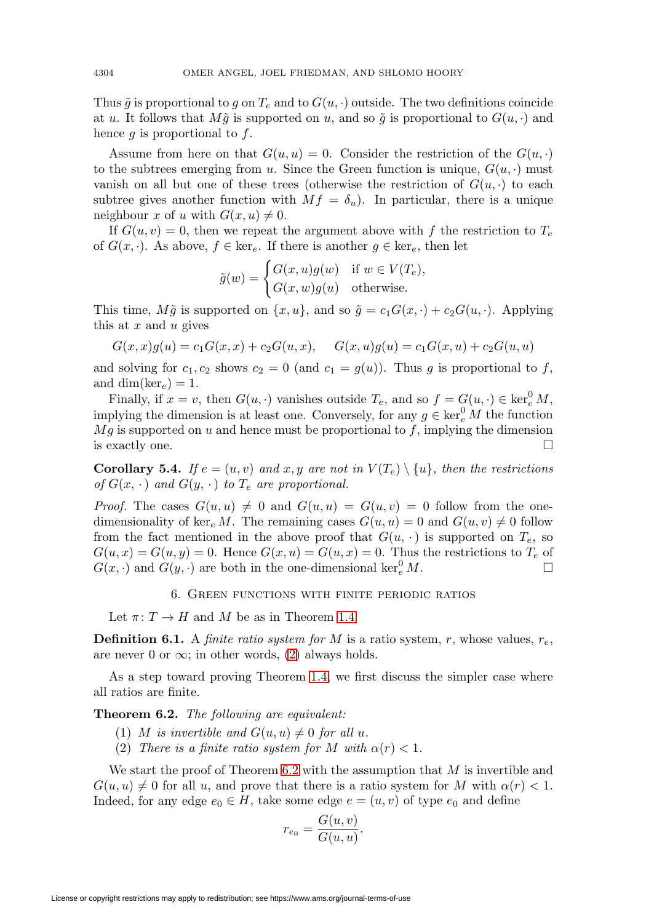Thus  $\tilde{g}$  is proportional to g on  $T_e$  and to  $G(u, \cdot)$  outside. The two definitions coincide at u. It follows that  $M\tilde{g}$  is supported on u, and so  $\tilde{g}$  is proportional to  $G(u, \cdot)$  and hence  $g$  is proportional to  $f$ .

Assume from here on that  $G(u, u) = 0$ . Consider the restriction of the  $G(u, \cdot)$ to the subtrees emerging from u. Since the Green function is unique,  $G(u, \cdot)$  must vanish on all but one of these trees (otherwise the restriction of  $G(u, \cdot)$  to each subtree gives another function with  $Mf = \delta_u$ ). In particular, there is a unique neighbour x of u with  $G(x, u) \neq 0$ .

If  $G(u, v) = 0$ , then we repeat the argument above with f the restriction to  $T_e$ of  $G(x, \cdot)$ . As above,  $f \in \text{ker}_e$ . If there is another  $g \in \text{ker}_e$ , then let

$$
\tilde{g}(w) = \begin{cases} G(x, u)g(w) & \text{if } w \in V(T_e), \\ G(x, w)g(u) & \text{otherwise.} \end{cases}
$$

This time,  $M\tilde{g}$  is supported on  $\{x, u\}$ , and so  $\tilde{g} = c_1G(x, \cdot) + c_2G(u, \cdot)$ . Applying this at  $x$  and  $u$  gives

$$
G(x, x)g(u) = c_1 G(x, x) + c_2 G(u, x), \quad G(x, u)g(u) = c_1 G(x, u) + c_2 G(u, u)
$$

and solving for  $c_1, c_2$  shows  $c_2 = 0$  (and  $c_1 = g(u)$ ). Thus g is proportional to f, and dim(ker<sub>e</sub>) = 1.

Finally, if  $x = v$ , then  $G(u, \cdot)$  vanishes outside  $T_e$ , and so  $f = G(u, \cdot) \in \text{ker}_e^0 M$ , implying the dimension is at least one. Conversely, for any  $g \in \ker^0_e M$  the function  $Mg$  is supported on u and hence must be proportional to f, implying the dimension is exactly one.  $\Box$ 

<span id="page-17-1"></span>**Corollary 5.4.** If  $e = (u, v)$  and x, y are not in  $V(T_e) \setminus \{u\}$ , then the restrictions of  $G(x, \cdot)$  and  $G(y, \cdot)$  to  $T_e$  are proportional.

*Proof.* The cases  $G(u, u) \neq 0$  and  $G(u, u) = G(u, v) = 0$  follow from the onedimensionality of ker<sub>e</sub> M. The remaining cases  $G(u, u) = 0$  and  $G(u, v) \neq 0$  follow from the fact mentioned in the above proof that  $G(u, \cdot)$  is supported on  $T_e$ , so  $G(u, x) = G(u, y) = 0$ . Hence  $G(x, u) = G(u, x) = 0$ . Thus the restrictions to  $T_e$  of  $G(x, \cdot)$  and  $G(y, \cdot)$  are both in the one-dimensional ker<sup>0</sup><sub>e</sub> M.

# 6. Green functions with finite periodic ratios

Let  $\pi: T \to H$  and M be as in Theorem [1.4.](#page-8-0)

**Definition 6.1.** A *finite ratio system for*  $M$  is a ratio system,  $r$ , whose values,  $r_e$ , are never 0 or  $\infty$ ; in other words, [\(2\)](#page-7-0) always holds.

As a step toward proving Theorem [1.4,](#page-8-0) we first discuss the simpler case where all ratios are finite.

<span id="page-17-0"></span>**Theorem 6.2.** The following are equivalent:

- (1) M is invertible and  $G(u, u) \neq 0$  for all u.
- (2) There is a finite ratio system for M with  $\alpha(r) < 1$ .

We start the proof of Theorem [6.2](#page-17-0) with the assumption that  $M$  is invertible and  $G(u, u) \neq 0$  for all u, and prove that there is a ratio system for M with  $\alpha(r) < 1$ . Indeed, for any edge  $e_0 \in H$ , take some edge  $e = (u, v)$  of type  $e_0$  and define

$$
r_{e_0} = \frac{G(u, v)}{G(u, u)}.
$$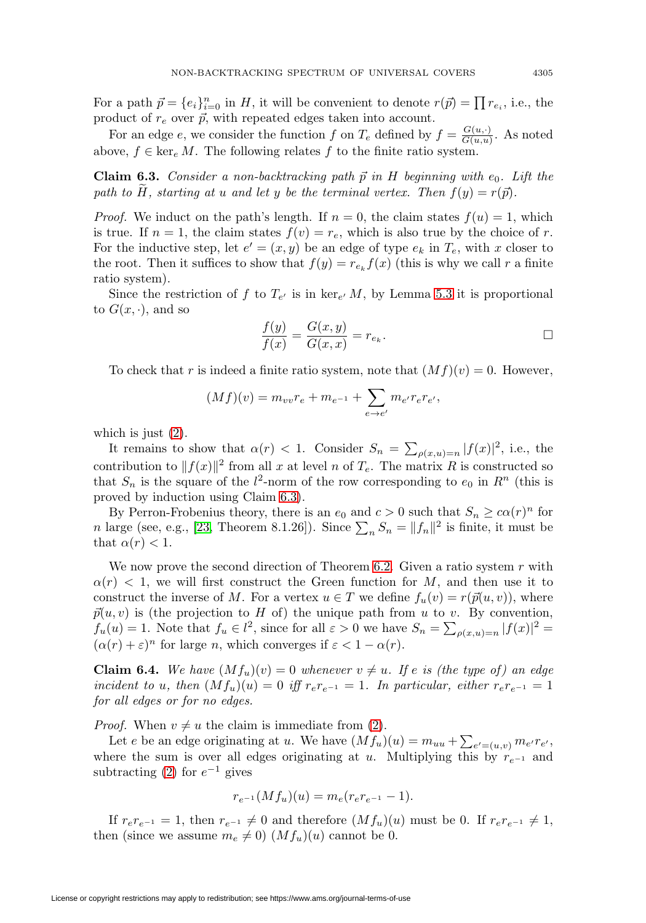For a path  $\vec{p} = \{e_i\}_{i=0}^n$  in H, it will be convenient to denote  $r(\vec{p}) = \prod r_{e_i}$ , i.e., the product of  $r_e$  over  $\vec{p}$ , with repeated edges taken into account.

For an edge e, we consider the function f on  $T_e$  defined by  $f = \frac{G(u, \cdot)}{G(u, u)}$ . As noted above,  $f \in \ker_e M$ . The following relates f to the finite ratio system.

<span id="page-18-0"></span>**Claim 6.3.** Consider a non-backtracking path  $\vec{p}$  in H beginning with  $e_0$ . Lift the path to H, starting at u and let y be the terminal vertex. Then  $f(y) = r(\vec{p})$ .

*Proof.* We induct on the path's length. If  $n = 0$ , the claim states  $f(u) = 1$ , which is true. If  $n = 1$ , the claim states  $f(v) = r_e$ , which is also true by the choice of r. For the inductive step, let  $e' = (x, y)$  be an edge of type  $e_k$  in  $T_e$ , with x closer to the root. Then it suffices to show that  $f(y) = r_{e_k} f(x)$  (this is why we call r a finite ratio system).

Since the restriction of f to  $T_{e'}$  is in ker<sub>e</sub> M, by Lemma [5.3](#page-16-0) it is proportional to  $G(x, \cdot)$ , and so

$$
\frac{f(y)}{f(x)} = \frac{G(x,y)}{G(x,x)} = r_{e_k}.
$$

To check that r is indeed a finite ratio system, note that  $(Mf)(v) = 0$ . However,

$$
(Mf)(v) = m_{vv}r_e + m_{e^{-1}} + \sum_{e \to e'} m_{e'}r_e r_{e'},
$$

which is just  $(2)$ .

It remains to show that  $\alpha(r) < 1$ . Consider  $S_n = \sum_{\rho(x,u)=n} |f(x)|^2$ , i.e., the contribution to  $||f(x)||^2$  from all x at level n of  $T_e$ . The matrix R is constructed so that  $S_n$  is the square of the  $l^2$ -norm of the row corresponding to  $e_0$  in  $R^n$  (this is proved by induction using Claim [6.3\)](#page-18-0).

By Perron-Frobenius theory, there is an  $e_0$  and  $c > 0$  such that  $S_n \ge c\alpha(r)^n$  for n large (see, e.g., [\[23,](#page-30-17) Theorem 8.1.26]). Since  $\sum_n S_n = ||f_n||^2$  is finite, it must be that  $\alpha(r) < 1$ .

We now prove the second direction of Theorem [6.2.](#page-17-0) Given a ratio system  $r$  with  $\alpha(r)$  < 1, we will first construct the Green function for M, and then use it to construct the inverse of M. For a vertex  $u \in T$  we define  $f_u(v) = r(\vec{p}(u, v))$ , where  $\vec{p}(u, v)$  is (the projection to H of) the unique path from u to v. By convention,  $f_u(u) = 1$ . Note that  $f_u \in l^2$ , since for all  $\varepsilon > 0$  we have  $S_n = \sum_{\rho(x,u)=n} |f(x)|^2 =$  $(\alpha(r) + \varepsilon)^n$  for large *n*, which converges if  $\varepsilon < 1 - \alpha(r)$ .

<span id="page-18-1"></span>**Claim 6.4.** We have  $(Mf_u)(v) = 0$  whenever  $v \neq u$ . If e is (the type of) an edge incident to u, then  $(Mf_u)(u)=0$  iff  $r_e r_{e^{-1}} = 1$ . In particular, either  $r_e r_{e^{-1}} = 1$ for all edges or for no edges.

*Proof.* When  $v \neq u$  the claim is immediate from [\(2\)](#page-7-0).

Let e be an edge originating at u. We have  $(Mf_u)(u) = m_{uu} + \sum_{e'=(u,v)} m_{e'} r_{e'}$ , where the sum is over all edges originating at u. Multiplying this by  $r_{e^{-1}}$  and subtracting [\(2\)](#page-7-0) for  $e^{-1}$  gives

$$
r_{e^{-1}}(Mf_u)(u) = m_e(r_e r_{e^{-1}} - 1).
$$

If  $r_e r_{e^{-1}} = 1$ , then  $r_{e^{-1}} \neq 0$  and therefore  $(Mf_u)(u)$  must be 0. If  $r_e r_{e^{-1}} \neq 1$ , then (since we assume  $m_e \neq 0$ )  $(Mf_u)(u)$  cannot be 0.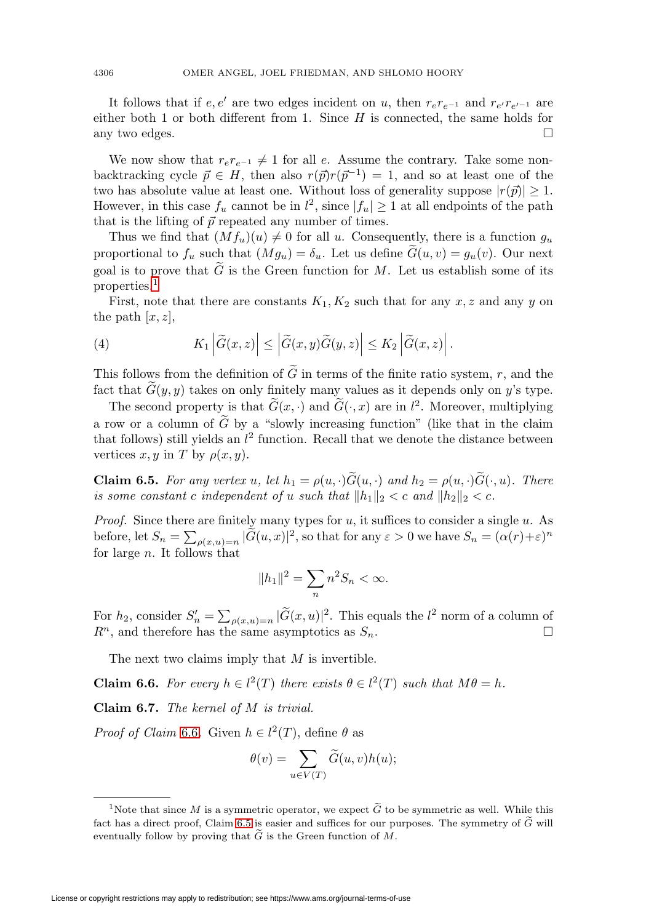It follows that if  $e, e'$  are two edges incident on u, then  $r_e r_{e^{-1}}$  and  $r_{e'} r_{e'^{-1}}$  are either both 1 or both different from 1. Since  $H$  is connected, the same holds for any two edges.  $\Box$ 

We now show that  $r_e r_{e^{-1}} \neq 1$  for all e. Assume the contrary. Take some nonbacktracking cycle  $\vec{p} \in H$ , then also  $r(\vec{p})r(\vec{p}^{-1}) = 1$ , and so at least one of the two has absolute value at least one. Without loss of generality suppose  $|r(\vec{p})| \geq 1$ . However, in this case  $f_u$  cannot be in  $l^2$ , since  $|f_u|\geq 1$  at all endpoints of the path that is the lifting of  $\vec{p}$  repeated any number of times.

Thus we find that  $(Mf_u)(u) \neq 0$  for all u. Consequently, there is a function  $g_u$ proportional to  $f_u$  such that  $(Mg_u) = \delta_u$ . Let us define  $G(u, v) = g_u(v)$ . Our next goal is to prove that  $G$  is the Green function for  $M$ . Let us establish some of its properties.[1](#page-19-0)

First, note that there are constants  $K_1, K_2$  such that for any x, z and any y on the path  $[x, z]$ ,

<span id="page-19-3"></span>(4) 
$$
K_1 \left| \widetilde{G}(x,z) \right| \leq \left| \widetilde{G}(x,y) \widetilde{G}(y,z) \right| \leq K_2 \left| \widetilde{G}(x,z) \right|.
$$

This follows from the definition of G in terms of the finite ratio system, r, and the fact that  $G(y, y)$  takes on only finitely many values as it depends only on y's type.

The second property is that  $G(x, \cdot)$  and  $G(\cdot, x)$  are in  $l^2$ . Moreover, multiplying a row or a column of  $G$  by a "slowly increasing function" (like that in the claim that follows) still yields an  $l^2$  function. Recall that we denote the distance between vertices  $x, y$  in T by  $\rho(x, y)$ .

<span id="page-19-2"></span>**Claim 6.5.** For any vertex u, let  $h_1 = \rho(u, \cdot)G(u, \cdot)$  and  $h_2 = \rho(u, \cdot)G(\cdot, u)$ . There is some constant c independent of u such that  $||h_1||_2 < c$  and  $||h_2||_2 < c$ .

*Proof.* Since there are finitely many types for  $u$ , it suffices to consider a single  $u$ . As before, let  $S_n = \sum_{\rho(x,u)=n} |\widetilde{G}(u,x)|^2$ , so that for any  $\varepsilon > 0$  we have  $S_n = (\alpha(r)+\varepsilon)^n$ for large  $n$ . It follows that

$$
||h_1||^2 = \sum_n n^2 S_n < \infty.
$$

For  $h_2$ , consider  $S'_n = \sum_{\rho(x,u)=n} |\widetilde{G}(x,u)|^2$ . This equals the  $l^2$  norm of a column of  $R<sup>n</sup>$ , and therefore has the same asymptotics as  $S<sub>n</sub>$ .  $\Box$ 

The next two claims imply that  $M$  is invertible.

<span id="page-19-1"></span>**Claim 6.6.** For every  $h \in l^2(T)$  there exists  $\theta \in l^2(T)$  such that  $M\theta = h$ .

<span id="page-19-4"></span>**Claim 6.7.** The kernel of M is trivial.

*Proof of Claim* [6.6](#page-19-1). Given  $h \in l^2(T)$ , define  $\theta$  as

$$
\theta(v) = \sum_{u \in V(T)} \tilde{G}(u, v)h(u);
$$
  
<sup>1</sup>Note that since *M* is a symmetric operator, we expect  $\tilde{G}$  to be symmetric as well. While this

<span id="page-19-0"></span>Fact has a direct proof, Claim [6.5](#page-19-2) is easier and suffices for our purposes. The symmetry of  $\widetilde{G}$ -<br>fact has a direct proof, Claim 6.5 is easier and suffices for our purposes. The symmetry of  $\widetilde{G}$ fact has a direct proof, Claim 6.5 is easier and suffices for our purposes. The symmetry of  $\tilde{G}$  will <sup>1</sup>Note that since *M* is a symmetriant since *M* is a symmetric fact has a direct proof, Claim 6.5 is eventually follow by proving that  $\widetilde{G}$ eventually follow by proving that  $\widetilde{G}$  is the Green function of M.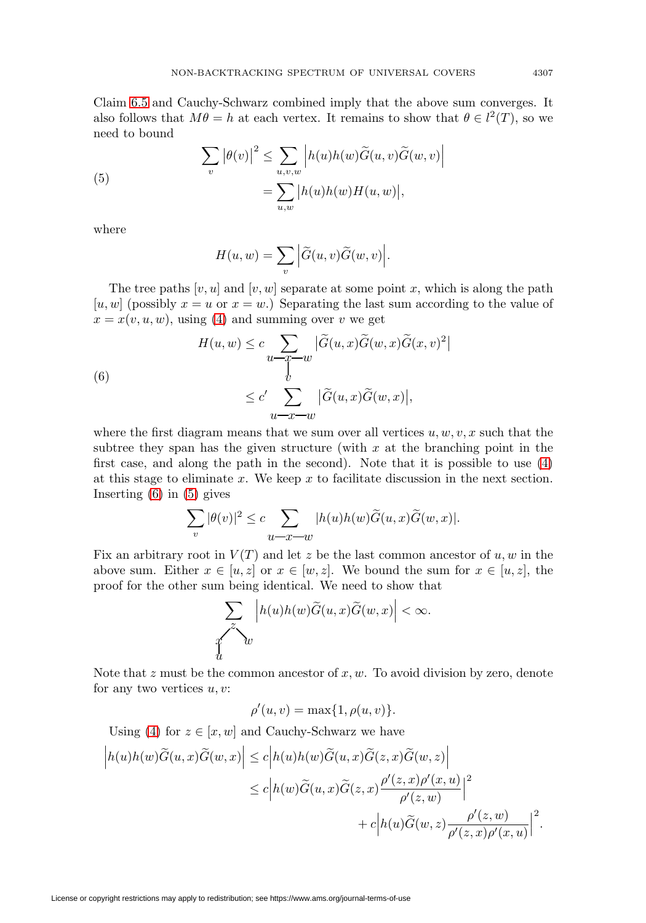Claim [6.5](#page-19-2) and Cauchy-Schwarz combined imply that the above sum converges. It also follows that  $M\theta = h$  at each vertex. It remains to show that  $\theta \in l^2(T)$ , so we need to bound

<span id="page-20-1"></span>(5)  

$$
\sum_{v} |\theta(v)|^2 \leq \sum_{u,v,w} |h(u)h(w)\widetilde{G}(u,v)\widetilde{G}(w,v)|
$$

$$
= \sum_{u,w} |h(u)h(w)H(u,w)|,
$$

where

$$
H(u, w) = \sum_{v} \left| \widetilde{G}(u, v) \widetilde{G}(w, v) \right|.
$$

The tree paths  $[v, u]$  and  $[v, w]$  separate at some point x, which is along the path [u, w] (possibly  $x = u$  or  $x = w$ .) Separating the last sum according to the value of  $x = x(v, u, w)$ , using [\(4\)](#page-19-3) and summing over v we get

<span id="page-20-0"></span>(6)  

$$
H(u, w) \leq c \sum_{u \to \widetilde{T}} |\widetilde{G}(u, x)\widetilde{G}(w, x)\widetilde{G}(x, v)|
$$

$$
\leq c' \sum_{u \to x \to w} |\widetilde{G}(u, x)\widetilde{G}(w, x)|,
$$

where the first diagram means that we sum over all vertices  $u, w, v, x$  such that the subtree they span has the given structure (with  $x$  at the branching point in the first case, and along the path in the second). Note that it is possible to use [\(4\)](#page-19-3) at this stage to eliminate  $x$ . We keep  $x$  to facilitate discussion in the next section. Inserting  $(6)$  in  $(5)$  gives

$$
\sum_v |\theta(v)|^2 \leq c \sum_{u \textcolor{red}{\smash{\hskip-1.4ex -\mathstrut\smash{\hskip-1.4ex -\mathstrut\smash{\hskip-1.4ex -\hskip-1.4ex -\mathstrut\smash{w}}}} |h(u)h(w) \widetilde{G}(u,x) \widetilde{G}(w,x)|.
$$

Fix an arbitrary root in  $V(T)$  and let z be the last common ancestor of  $u, w$  in the above sum. Either  $x \in [u, z]$  or  $x \in [w, z]$ . We bound the sum for  $x \in [u, z]$ , the proof for the other sum being identical. We need to show that

$$
\sum_{\substack{\widetilde{\mathcal{L}}\\u}}\left|h(u)h(w)\widetilde{G}(u,x)\widetilde{G}(w,x)\right|<\infty.
$$

Note that  $z$  must be the common ancestor of  $x, w$ . To avoid division by zero, denote for any two vertices  $u, v$ :

$$
\rho'(u,v) = \max\{1, \rho(u,v)\}.
$$

Using [\(4\)](#page-19-3) for  $z \in [x, w]$  and Cauchy-Schwarz we have

$$
\begin{aligned}\n\left|h(u)h(w)\widetilde{G}(u,x)\widetilde{G}(w,x)\right| &\leq c\left|h(u)h(w)\widetilde{G}(u,x)\widetilde{G}(z,x)\widetilde{G}(w,z)\right| \\
&\leq c\left|h(w)\widetilde{G}(u,x)\widetilde{G}(z,x)\frac{\rho'(z,x)\rho'(x,u)}{\rho'(z,w)}\right|^2 \\
&+c\left|h(u)\widetilde{G}(w,z)\frac{\rho'(z,w)}{\rho'(z,x)\rho'(x,u)}\right|^2.\n\end{aligned}
$$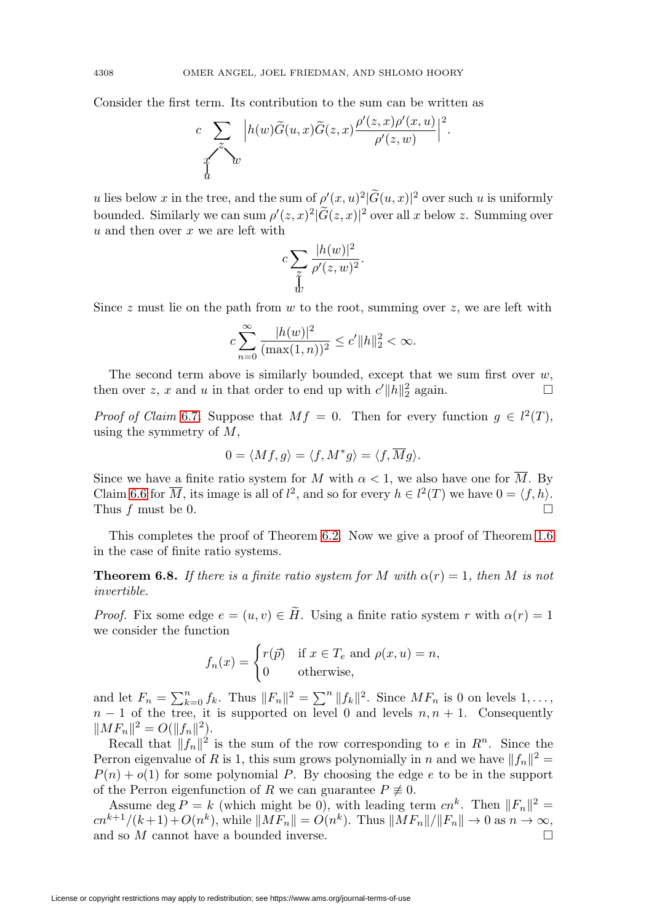Consider the first term. Its contribution to the sum can be written as

$$
c \sum_{\substack{z \\ \text{if} \\ d}} \left| h(w) \widetilde{G}(u, x) \widetilde{G}(z, x) \frac{\rho'(z, x) \rho'(x, u)}{\rho'(z, w)} \right|^2.
$$

u lies below x in the tree, and the sum of  $\rho'(x, u)^2 |\tilde{G}(u, x)|^2$  over such u is uniformly bounded. Similarly we can sum  $\rho'(z, x)^2 |\tilde{G}(z, x)|^2$  over all x below z. Summing over  $u$  and then over  $x$  we are left with

$$
c\sum_{\substack{z\\w}}\frac{|h(w)|^2}{\rho'(z,w)^2}.
$$

Since z must lie on the path from w to the root, summing over z, we are left with

$$
c\sum_{n=0}^{\infty}\frac{|h(w)|^2}{(\max(1,n))^2}\leq c'\|h\|_2^2<\infty.
$$

The second term above is similarly bounded, except that we sum first over  $w$ , then over z, x and u in that order to end up with  $c'$   $||h||_2^2$  again.  $\square$ 

*Proof of Claim* [6.7](#page-19-4). Suppose that  $Mf = 0$ . Then for every function  $g \in l^2(T)$ , using the symmetry of  $M$ ,

$$
0 = \langle Mf, g \rangle = \langle f, M^*g \rangle = \langle f, \overline{M}g \rangle.
$$

Since we have a finite ratio system for M with  $\alpha < 1$ , we also have one for  $\overline{M}$ . By Claim [6.6](#page-19-1) for  $\overline{M}$ , its image is all of  $l^2$ , and so for every  $h \in l^2(T)$  we have  $0 = \langle f, h \rangle$ . Thus  $f$  must be 0.  $\Box$ 

This completes the proof of Theorem [6.2.](#page-17-0) Now we give a proof of Theorem [1.6](#page-8-1) in the case of finite ratio systems.

<span id="page-21-0"></span>**Theorem 6.8.** If there is a finite ratio system for M with  $\alpha(r) = 1$ , then M is not invertible.

*Proof.* Fix some edge  $e = (u, v) \in H$ . Using a finite ratio system r with  $\alpha(r) = 1$ we consider the function

$$
f_n(x) = \begin{cases} r(\vec{p}) & \text{if } x \in T_e \text{ and } \rho(x, u) = n, \\ 0 & \text{otherwise,} \end{cases}
$$

and let  $F_n = \sum_{k=0}^n f_k$ . Thus  $||F_n||^2 = \sum_{k=0}^n ||f_k||^2$ . Since  $MF_n$  is 0 on levels  $1, \ldots,$  $n-1$  of the tree, it is supported on level 0 and levels  $n, n+1$ . Consequently  $||MF_n||^2 = O(||f_n||^2).$ 

Recall that  $||f_n||^2$  is the sum of the row corresponding to e in  $R^n$ . Since the Perron eigenvalue of R is 1, this sum grows polynomially in n and we have  $||f_n||^2 =$  $P(n) + o(1)$  for some polynomial P. By choosing the edge e to be in the support of the Perron eigenfunction of R we can guarantee  $P \neq 0$ .

Assume deg  $P = k$  (which might be 0), with leading term  $cn^k$ . Then  $||F_n||^2 =$  $cn^{k+1}/(k+1)+O(n^k)$ , while  $||MF_n|| = O(n^k)$ . Thus  $||MF_n||/||F_n|| \to 0$  as  $n \to \infty$ , and so  $M$  cannot have a bounded inverse.  $\Box$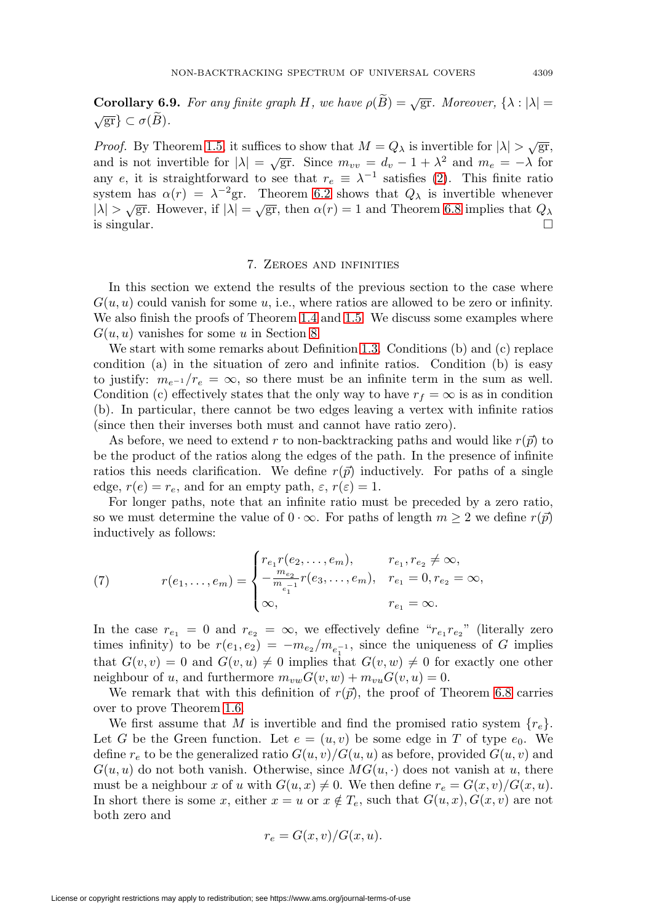**Corollary 6.9.** For any finite graph H, we have  $\rho(\widetilde{B}) = \sqrt{gr}$ . Moreover,  $\{\lambda : |\lambda| = \sqrt{gr}\} \subset \sigma(\widetilde{B})$ .  $\sqrt{\operatorname{gr}}\}\subset \sigma(\widetilde{B}).$ 

*Proof.* By Theorem [1.5,](#page-8-2) it suffices to show that  $M = Q_{\lambda}$  is invertible for  $|\lambda| > \sqrt{gr}$ , and is not invertible for  $|\lambda| = \sqrt{gr}$ . Since  $m_{vv} = d_v - 1 + \lambda^2$  and  $m_e = -\lambda$  for any e, it is straightforward to see that  $r_e \equiv \lambda^{-1}$  satisfies [\(2\)](#page-7-0). This finite ratio system has  $\alpha(r) = \lambda^{-2}$ gr. Theorem [6.2](#page-17-0) shows that  $Q_{\lambda}$  is invertible whenever  $|\lambda| > \sqrt{\text{gr}}$ . However, if  $|\lambda| = \sqrt{\text{gr}}$ , then  $\alpha(r) = 1$  and Theorem [6.8](#page-21-0) implies that  $Q_{\lambda}$ is singular.  $\Box$ 

#### 7. Zeroes and infinities

In this section we extend the results of the previous section to the case where  $G(u, u)$  could vanish for some u, i.e., where ratios are allowed to be zero or infinity. We also finish the proofs of Theorem [1.4](#page-8-0) and [1.5.](#page-8-2) We discuss some examples where  $G(u, u)$  vanishes for some u in Section [8.](#page-26-0)

We start with some remarks about Definition [1.3.](#page-7-1) Conditions (b) and (c) replace condition (a) in the situation of zero and infinite ratios. Condition (b) is easy to justify:  $m_{e^{-1}}/r_e = \infty$ , so there must be an infinite term in the sum as well. Condition (c) effectively states that the only way to have  $r_f = \infty$  is as in condition (b). In particular, there cannot be two edges leaving a vertex with infinite ratios (since then their inverses both must and cannot have ratio zero).

As before, we need to extend r to non-backtracking paths and would like  $r(\vec{p})$  to be the product of the ratios along the edges of the path. In the presence of infinite ratios this needs clarification. We define  $r(\vec{p})$  inductively. For paths of a single edge,  $r(e) = r_e$ , and for an empty path,  $\varepsilon$ ,  $r(\varepsilon) = 1$ .

For longer paths, note that an infinite ratio must be preceded by a zero ratio, so we must determine the value of  $0 \cdot \infty$ . For paths of length  $m \geq 2$  we define  $r(\vec{p})$ inductively as follows:

(7) 
$$
r(e_1, ..., e_m) = \begin{cases} r_{e_1}r(e_2, ..., e_m), & r_{e_1}, r_{e_2} \neq \infty, \\ -\frac{m_{e_2}}{m_{e_1} - 1}r(e_3, ..., e_m), & r_{e_1} = 0, r_{e_2} = \infty, \\ \infty, & r_{e_1} = \infty. \end{cases}
$$

In the case  $r_{e_1} = 0$  and  $r_{e_2} = \infty$ , we effectively define " $r_{e_1} r_{e_2}$ " (literally zero times infinity) to be  $r(e_1, e_2) = -m_{e_2}/m_{e_1^{-1}}$ , since the uniqueness of G implies that  $G(v, v) = 0$  and  $G(v, u) \neq 0$  implies that  $G(v, w) \neq 0$  for exactly one other neighbour of u, and furthermore  $m_{vw}G(v, w) + m_{vu}G(v, u) = 0$ .

We remark that with this definition of  $r(\vec{p})$ , the proof of Theorem [6.8](#page-21-0) carries over to prove Theorem [1.6.](#page-8-1)

We first assume that M is invertible and find the promised ratio system  $\{r_e\}$ . Let G be the Green function. Let  $e = (u, v)$  be some edge in T of type  $e_0$ . We define  $r_e$  to be the generalized ratio  $G(u, v)/G(u, u)$  as before, provided  $G(u, v)$  and  $G(u, u)$  do not both vanish. Otherwise, since  $MG(u, \cdot)$  does not vanish at u, there must be a neighbour x of u with  $G(u, x) \neq 0$ . We then define  $r_e = G(x, v)/G(x, u)$ . In short there is some x, either  $x = u$  or  $x \notin T_e$ , such that  $G(u, x)$ ,  $G(x, v)$  are not both zero and

$$
r_e = G(x, v) / G(x, u).
$$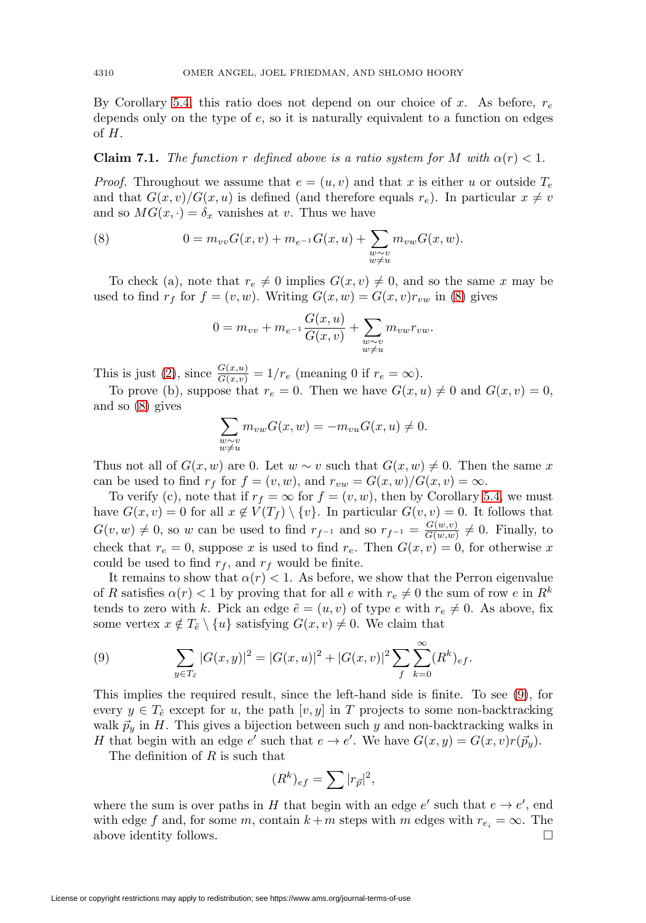By Corollary [5.4,](#page-17-1) this ratio does not depend on our choice of x. As before,  $r_e$ depends only on the type of e, so it is naturally equivalent to a function on edges of H.

### **Claim 7.1.** The function r defined above is a ratio system for M with  $\alpha(r) < 1$ .

*Proof.* Throughout we assume that  $e = (u, v)$  and that x is either u or outside  $T_e$ and that  $G(x, v)/G(x, u)$  is defined (and therefore equals  $r_e$ ). In particular  $x \neq v$ and so  $MG(x, \cdot) = \delta_x$  vanishes at v. Thus we have

<span id="page-23-0"></span>(8) 
$$
0 = m_{vv}G(x, v) + m_{e^{-1}}G(x, u) + \sum_{\substack{w \sim v \\ w \neq u}} m_{vw}G(x, w).
$$

To check (a), note that  $r_e \neq 0$  implies  $G(x, v) \neq 0$ , and so the same x may be used to find  $r_f$  for  $f = (v, w)$ . Writing  $G(x, w) = G(x, v)r_{vw}$  in [\(8\)](#page-23-0) gives

$$
0 = m_{vv} + m_{e^{-1}} \frac{G(x, u)}{G(x, v)} + \sum_{\substack{w \sim v \\ w \neq u}} m_{vw} r_{vw}.
$$

This is just [\(2\)](#page-7-0), since  $\frac{G(x,u)}{G(x,v)} = 1/r_e$  (meaning 0 if  $r_e = \infty$ ).

To prove (b), suppose that  $r_e = 0$ . Then we have  $G(x, u) \neq 0$  and  $G(x, v) = 0$ , and so [\(8\)](#page-23-0) gives

$$
\sum_{\substack{w \sim v \\ w \neq u}} m_{vw} G(x, w) = -m_{vu} G(x, u) \neq 0.
$$

Thus not all of  $G(x, w)$  are 0. Let  $w \sim v$  such that  $G(x, w) \neq 0$ . Then the same x can be used to find  $r_f$  for  $f = (v, w)$ , and  $r_{vw} = G(x, w)/G(x, v) = \infty$ .

To verify (c), note that if  $r_f = \infty$  for  $f = (v, w)$ , then by Corollary [5.4,](#page-17-1) we must have  $G(x, v) = 0$  for all  $x \notin V(T_f) \setminus \{v\}$ . In particular  $G(v, v) = 0$ . It follows that  $G(v, w) \neq 0$ , so w can be used to find  $r_{f^{-1}}$  and so  $r_{f^{-1}} = \frac{G(w, v)}{G(w, w)} \neq 0$ . Finally, to check that  $r_e = 0$ , suppose x is used to find  $r_e$ . Then  $G(x, v) = 0$ , for otherwise x could be used to find  $r_f$ , and  $r_f$  would be finite.

It remains to show that  $\alpha(r) < 1$ . As before, we show that the Perron eigenvalue of R satisfies  $\alpha(r) < 1$  by proving that for all e with  $r_e \neq 0$  the sum of row e in  $R^k$ tends to zero with k. Pick an edge  $\tilde{e} = (u, v)$  of type e with  $r_e \neq 0$ . As above, fix some vertex  $x \notin T_{\tilde{e}} \setminus \{u\}$  satisfying  $G(x, v) \neq 0$ . We claim that

<span id="page-23-1"></span>(9) 
$$
\sum_{y \in T_{\tilde{e}}}|G(x,y)|^2 = |G(x,u)|^2 + |G(x,v)|^2 \sum_{f} \sum_{k=0}^{\infty} (R^k)_{ef}.
$$

This implies the required result, since the left-hand side is finite. To see [\(9\)](#page-23-1), for every  $y \in T_{\tilde{e}}$  except for u, the path  $[v, y]$  in T projects to some non-backtracking walk  $\vec{p}_y$  in H. This gives a bijection between such y and non-backtracking walks in H that begin with an edge e' such that  $e \to e'$ . We have  $G(x, y) = G(x, v)r(\vec{p}_y)$ .

The definition of  $R$  is such that

$$
(R^k)_{ef} = \sum |r_{\vec p}|^2,
$$

where the sum is over paths in H that begin with an edge  $e'$  such that  $e \to e'$ , end with edge f and, for some m, contain  $k + m$  steps with m edges with  $r_{e_i} = \infty$ . The above identity follows.  $\Box$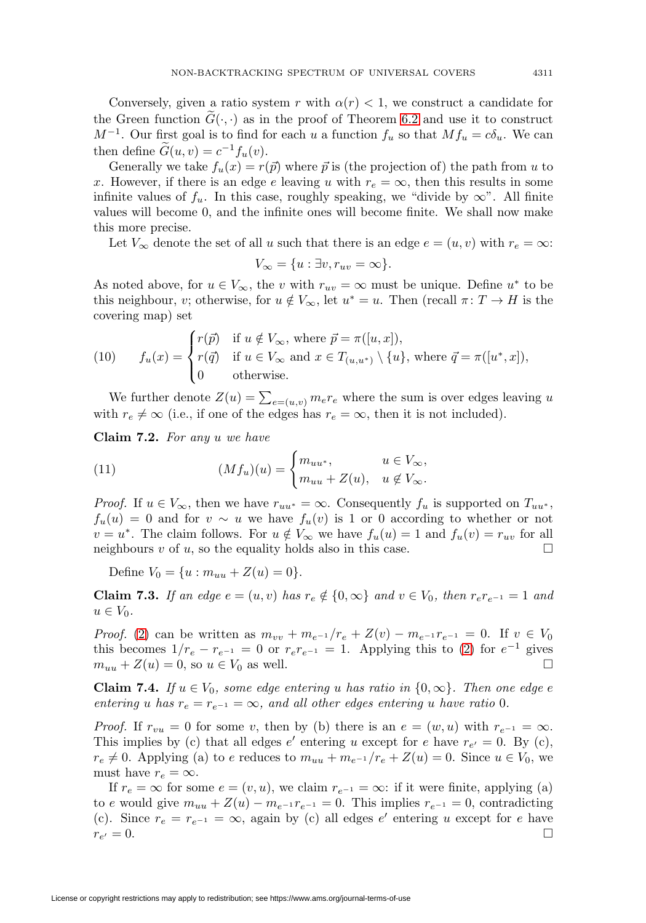Conversely, given a ratio system r with  $\alpha(r) < 1$ , we construct a candidate for the Green function  $G(\cdot, \cdot)$  as in the proof of Theorem [6.2](#page-17-0) and use it to construct  $M^{-1}$ . Our first goal is to find for each u a function  $f_u$  so that  $Mf_u = c\delta_u$ . We can then define  $\widetilde{G}(u, v) = c^{-1} f_u(v)$ .

Generally we take  $f_u(x) = r(\vec{p})$  where  $\vec{p}$  is (the projection of) the path from u to x. However, if there is an edge e leaving u with  $r_e = \infty$ , then this results in some infinite values of  $f_u$ . In this case, roughly speaking, we "divide by  $\infty$ ". All finite values will become 0, and the infinite ones will become finite. We shall now make this more precise.

Let  $V_{\infty}$  denote the set of all u such that there is an edge  $e = (u, v)$  with  $r_e = \infty$ :

$$
V_{\infty} = \{u : \exists v, r_{uv} = \infty\}.
$$

As noted above, for  $u \in V_{\infty}$ , the v with  $r_{uv} = \infty$  must be unique. Define  $u^*$  to be this neighbour, v; otherwise, for  $u \notin V_{\infty}$ , let  $u^* = u$ . Then (recall  $\pi \colon T \to H$  is the covering map) set

<span id="page-24-3"></span>(10) 
$$
f_u(x) = \begin{cases} r(\vec{p}) & \text{if } u \notin V_{\infty}, \text{ where } \vec{p} = \pi([u, x]), \\ r(\vec{q}) & \text{if } u \in V_{\infty} \text{ and } x \in T_{(u, u^*)} \setminus \{u\}, \text{ where } \vec{q} = \pi([u^*, x]), \\ 0 & \text{otherwise.} \end{cases}
$$

We further denote  $Z(u) = \sum_{e=(u,v)} m_e r_e$  where the sum is over edges leaving u with  $r_e \neq \infty$  (i.e., if one of the edges has  $r_e = \infty$ , then it is not included).

<span id="page-24-2"></span>**Claim 7.2.** For any u we have

(11) 
$$
(Mf_u)(u) = \begin{cases} m_{uu^*}, & u \in V_{\infty}, \\ m_{uu} + Z(u), & u \notin V_{\infty}. \end{cases}
$$

*Proof.* If  $u \in V_{\infty}$ , then we have  $r_{uu^*} = \infty$ . Consequently  $f_u$  is supported on  $T_{uu^*}$ ,  $f_u(u) = 0$  and for  $v \sim u$  we have  $f_u(v)$  is 1 or 0 according to whether or not  $v = u^*$ . The claim follows. For  $u \notin V_\infty$  we have  $f_u(u) = 1$  and  $f_u(v) = r_{uv}$  for all neighbours  $v$  of  $u$ , so the equality holds also in this case.

Define  $V_0 = \{u : m_{uu} + Z(u) = 0\}.$ 

<span id="page-24-1"></span>**Claim 7.3.** If an edge  $e = (u, v)$  has  $r_e \notin \{0, \infty\}$  and  $v \in V_0$ , then  $r_e r_{e^{-1}} = 1$  and  $u \in V_0$ .

*Proof.* [\(2\)](#page-7-0) can be written as  $m_{vv} + m_{e^{-1}}/r_e + Z(v) - m_{e^{-1}}r_{e^{-1}} = 0$ . If  $v \in V_0$ this becomes  $1/r_e - r_{e^{-1}} = 0$  or  $r_e r_{e^{-1}} = 1$ . Applying this to [\(2\)](#page-7-0) for  $e^{-1}$  gives  $m_{uu} + Z(u) = 0$ , so  $u \in V_0$  as well.  $\Box$ 

<span id="page-24-0"></span>**Claim 7.4.** If  $u \in V_0$ , some edge entering u has ratio in  $\{0, \infty\}$ . Then one edge e entering u has  $r_e = r_{e^{-1}} = \infty$ , and all other edges entering u have ratio 0.

*Proof.* If  $r_{vu} = 0$  for some v, then by (b) there is an  $e = (w, u)$  with  $r_{e^{-1}} = \infty$ . This implies by (c) that all edges  $e'$  entering u except for e have  $r_{e'} = 0$ . By (c),  $r_e \neq 0$ . Applying (a) to e reduces to  $m_{uu} + m_{e^{-1}}/r_e + Z(u) = 0$ . Since  $u \in V_0$ , we must have  $r_e = \infty$ .

If  $r_e = \infty$  for some  $e = (v, u)$ , we claim  $r_{e^{-1}} = \infty$ : if it were finite, applying (a) to e would give  $m_{uu} + Z(u) - m_{e^{-1}} r_{e^{-1}} = 0$ . This implies  $r_{e^{-1}} = 0$ , contradicting (c). Since  $r_e = r_{e^{-1}} = \infty$ , again by (c) all edges e' entering u except for e have  $r_{e'}=0.$  $\alpha = 0.$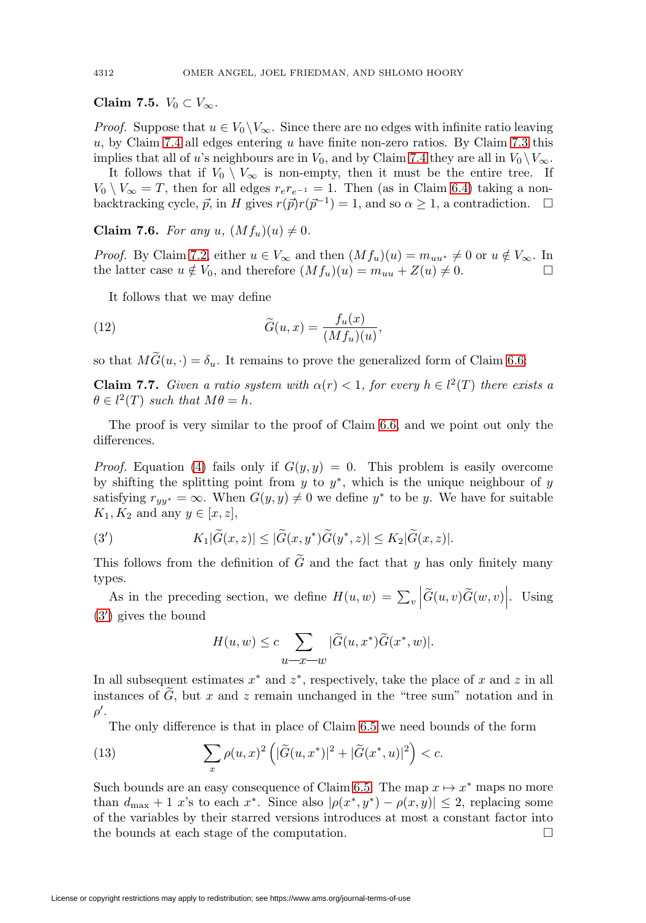### **Claim 7.5.**  $V_0 \subset V_\infty$ .

*Proof.* Suppose that  $u \in V_0 \backslash V_\infty$ . Since there are no edges with infinite ratio leaving  $u$ , by Claim [7.4](#page-24-0) all edges entering u have finite non-zero ratios. By Claim [7.3](#page-24-1) this implies that all of u's neighbours are in  $V_0$ , and by Claim [7.4](#page-24-0) they are all in  $V_0 \setminus V_\infty$ .

It follows that if  $V_0 \setminus V_\infty$  is non-empty, then it must be the entire tree. If  $V_0 \setminus V_\infty = T$ , then for all edges  $r_e r_{e^{-1}} = 1$ . Then (as in Claim [6.4\)](#page-18-1) taking a nonbacktracking cycle,  $\vec{p}$ , in H gives  $r(\vec{p})r(\vec{p}^{-1}) = 1$ , and so  $\alpha \geq 1$ , a contradiction.  $\Box$ 

**Claim 7.6.** For any u,  $(Mf_u)(u) \neq 0$ .

*Proof.* By Claim [7.2,](#page-24-2) either  $u \in V_{\infty}$  and then  $(Mf_u)(u) = m_{uu^*} \neq 0$  or  $u \notin V_{\infty}$ . In the latter case  $u \notin V_0$ , and therefore  $(Mf_u)(u) = m_{uu} + Z(u) \neq 0$ .

It follows that we may define

<span id="page-25-1"></span>(12) 
$$
\widetilde{G}(u,x) = \frac{f_u(x)}{(Mf_u)(u)},
$$

so that  $MG(u, \cdot) = \delta_u$ . It remains to prove the generalized form of Claim [6.6:](#page-19-1)

**Claim 7.7.** Given a ratio system with  $\alpha(r) < 1$ , for every  $h \in l^2(T)$  there exists a  $\theta \in l^2(T)$  such that  $M\theta = h$ .

The proof is very similar to the proof of Claim [6.6,](#page-19-1) and we point out only the differences.

*Proof.* Equation [\(4\)](#page-19-3) fails only if  $G(y, y) = 0$ . This problem is easily overcome by shifting the splitting point from y to  $y^*$ , which is the unique neighbour of y satisfying  $r_{yy^*} = \infty$ . When  $G(y, y) \neq 0$  we define  $y^*$  to be y. We have for suitable  $K_1, K_2$  and any  $y \in [x, z]$ ,

<span id="page-25-0"></span>(3') 
$$
K_1|\widetilde{G}(x,z)| \leq |\widetilde{G}(x,y^*)\widetilde{G}(y^*,z)| \leq K_2|\widetilde{G}(x,z)|.
$$

This follows from the definition of  $G$  and the fact that  $y$  has only finitely many types.

As in the preceding section, we define  $H(u, w) = \sum_{v}$  $\left| \widetilde G(u,v) \widetilde G(w,v) \right|$ . Using [\(3](#page-25-0) ) gives the bound

$$
H(u, w) \le c \sum_{u \to x-w} |\widetilde{G}(u, x^*)\widetilde{G}(x^*, w)|.
$$

In all subsequent estimates  $x^*$  and  $z^*$ , respectively, take the place of x and z in all instances of  $G$ , but  $x$  and  $z$  remain unchanged in the "tree sum" notation and in  $\rho'.$ 

The only difference is that in place of Claim [6.5](#page-19-2) we need bounds of the form

<span id="page-25-2"></span>(13) 
$$
\sum_{x} \rho(u, x)^2 \left( |\widetilde{G}(u, x^*)|^2 + |\widetilde{G}(x^*, u)|^2 \right) < c.
$$

Such bounds are an easy consequence of Claim [6.5:](#page-19-2) The map  $x \mapsto x^*$  maps no more than  $d_{\text{max}} + 1$  x's to each x<sup>\*</sup>. Since also  $|\rho(x^*, y^*) - \rho(x, y)| \leq 2$ , replacing some of the variables by their starred versions introduces at most a constant factor into the bounds at each stage of the computation.  $\Box$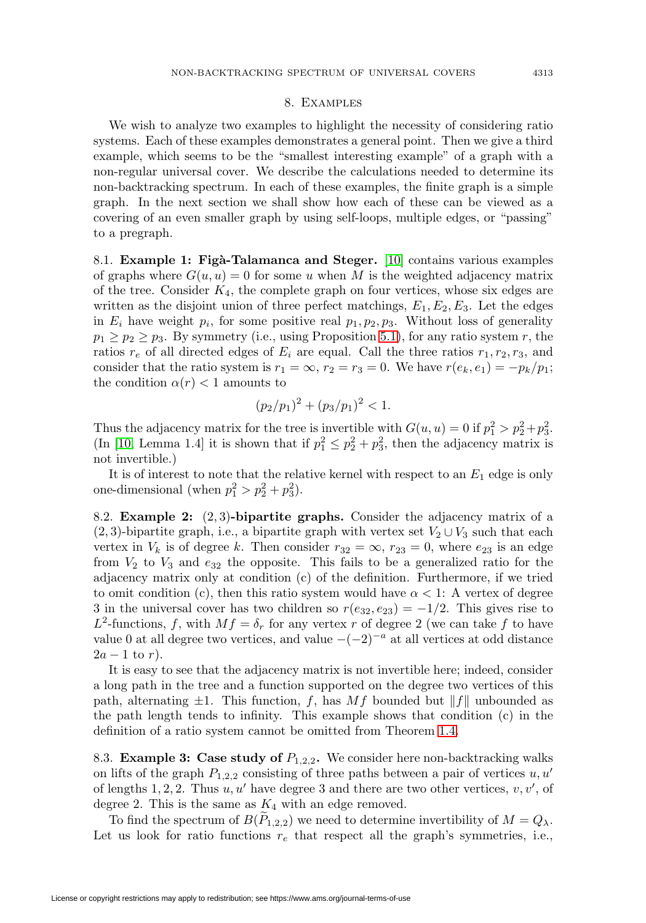### 8. Examples

<span id="page-26-0"></span>We wish to analyze two examples to highlight the necessity of considering ratio systems. Each of these examples demonstrates a general point. Then we give a third example, which seems to be the "smallest interesting example" of a graph with a non-regular universal cover. We describe the calculations needed to determine its non-backtracking spectrum. In each of these examples, the finite graph is a simple graph. In the next section we shall show how each of these can be viewed as a covering of an even smaller graph by using self-loops, multiple edges, or "passing" to a pregraph.

<span id="page-26-1"></span>8.1. **Example 1: Fig`a-Talamanca and Steger.** [\[10\]](#page-30-18) contains various examples of graphs where  $G(u, u) = 0$  for some u when M is the weighted adjacency matrix of the tree. Consider  $K_4$ , the complete graph on four vertices, whose six edges are written as the disjoint union of three perfect matchings,  $E_1, E_2, E_3$ . Let the edges in  $E_i$  have weight  $p_i$ , for some positive real  $p_1, p_2, p_3$ . Without loss of generality  $p_1 \geq p_2 \geq p_3$ . By symmetry (i.e., using Proposition [5.1\)](#page-16-1), for any ratio system r, the ratios  $r_e$  of all directed edges of  $E_i$  are equal. Call the three ratios  $r_1, r_2, r_3$ , and consider that the ratio system is  $r_1 = \infty$ ,  $r_2 = r_3 = 0$ . We have  $r(e_k, e_1) = -p_k/p_1$ ; the condition  $\alpha(r) < 1$  amounts to

$$
(p_2/p_1)^2 + (p_3/p_1)^2 < 1.
$$

Thus the adjacency matrix for the tree is invertible with  $G(u, u) = 0$  if  $p_1^2 > p_2^2 + p_3^2$ . (In [\[10,](#page-30-18) Lemma 1.4] it is shown that if  $p_1^2 \leq p_2^2 + p_3^2$ , then the adjacency matrix is not invertible.)

It is of interest to note that the relative kernel with respect to an  $E_1$  edge is only one-dimensional (when  $p_1^2 > p_2^2 + p_3^2$ ).

8.2. **Example 2:** (2, 3)**-bipartite graphs.** Consider the adjacency matrix of a (2, 3)-bipartite graph, i.e., a bipartite graph with vertex set  $V_2 \cup V_3$  such that each vertex in  $V_k$  is of degree k. Then consider  $r_{32} = \infty$ ,  $r_{23} = 0$ , where  $e_{23}$  is an edge from  $V_2$  to  $V_3$  and  $e_{32}$  the opposite. This fails to be a generalized ratio for the adjacency matrix only at condition (c) of the definition. Furthermore, if we tried to omit condition (c), then this ratio system would have  $\alpha < 1$ : A vertex of degree 3 in the universal cover has two children so  $r(e_{32}, e_{23}) = -1/2$ . This gives rise to  $L^2$ -functions, f, with  $Mf = \delta_r$  for any vertex r of degree 2 (we can take f to have value 0 at all degree two vertices, and value  $-(-2)^{-a}$  at all vertices at odd distance  $2a-1$  to r).

It is easy to see that the adjacency matrix is not invertible here; indeed, consider a long path in the tree and a function supported on the degree two vertices of this path, alternating  $\pm 1$ . This function, f, has Mf bounded but  $||f||$  unbounded as the path length tends to infinity. This example shows that condition (c) in the definition of a ratio system cannot be omitted from Theorem [1.4.](#page-8-0)

8.3. **Example 3: Case study of**  $P_{1,2,2}$ . We consider here non-backtracking walks on lifts of the graph  $P_{1,2,2}$  consisting of three paths between a pair of vertices u, u' of lengths 1, 2, 2. Thus  $u, u'$  have degree 3 and there are two other vertices,  $v, v'$ , of degree 2. This is the same as  $K_4$  with an edge removed.

To find the spectrum of  $B(P_{1,2,2})$  we need to determine invertibility of  $M = Q_{\lambda}$ . Let us look for ratio functions  $r_e$  that respect all the graph's symmetries, i.e.,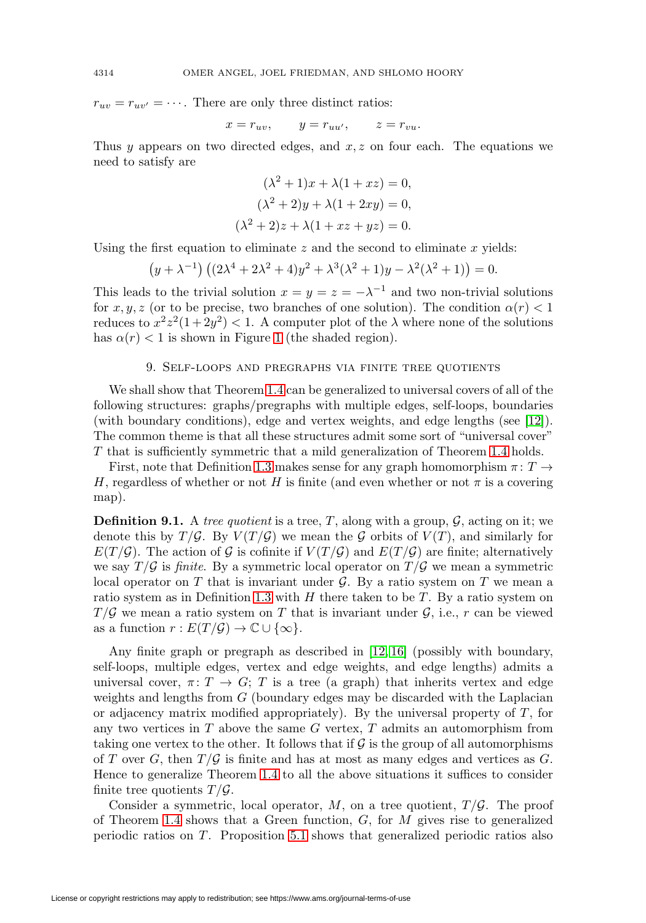$r_{uv} = r_{uv'} = \cdots$ . There are only three distinct ratios:

$$
x = r_{uv}, \qquad y = r_{uu'}, \qquad z = r_{vu}.
$$

Thus y appears on two directed edges, and  $x, z$  on four each. The equations we need to satisfy are

$$
(\lambda^2 + 1)x + \lambda(1 + xz) = 0,
$$
  
\n
$$
(\lambda^2 + 2)y + \lambda(1 + 2xy) = 0,
$$
  
\n
$$
(\lambda^2 + 2)z + \lambda(1 + xz + yz) = 0.
$$

Using the first equation to eliminate  $z$  and the second to eliminate  $x$  yields:

$$
(y + \lambda^{-1}) ((2\lambda^4 + 2\lambda^2 + 4)y^2 + \lambda^3(\lambda^2 + 1)y - \lambda^2(\lambda^2 + 1)) = 0.
$$

This leads to the trivial solution  $x = y = z = -\lambda^{-1}$  and two non-trivial solutions for x, y, z (or to be precise, two branches of one solution). The condition  $\alpha(r) < 1$ reduces to  $x^2z^2(1+2y^2) < 1$ . A computer plot of the  $\lambda$  where none of the solutions has  $\alpha(r) < 1$  $\alpha(r) < 1$  is shown in Figure 1 (the shaded region).

# 9. Self-loops and pregraphs via finite tree quotients

<span id="page-27-0"></span>We shall show that Theorem [1.4](#page-8-0) can be generalized to universal covers of all of the following structures: graphs/pregraphs with multiple edges, self-loops, boundaries (with boundary conditions), edge and vertex weights, and edge lengths (see [\[12\]](#page-30-9)). The common theme is that all these structures admit some sort of "universal cover" T that is sufficiently symmetric that a mild generalization of Theorem [1.4](#page-8-0) holds.

First, note that Definition [1.3](#page-7-1) makes sense for any graph homomorphism  $\pi: T \to$ H, regardless of whether or not H is finite (and even whether or not  $\pi$  is a covering map).

**Definition 9.1.** A tree quotient is a tree, T, along with a group,  $\mathcal{G}$ , acting on it; we denote this by  $T/\mathcal{G}$ . By  $V(T/\mathcal{G})$  we mean the  $\mathcal G$  orbits of  $V(T)$ , and similarly for  $E(T/\mathcal{G})$ . The action of  $\mathcal G$  is cofinite if  $V(T/\mathcal{G})$  and  $E(T/\mathcal{G})$  are finite; alternatively we say  $T/G$  is finite. By a symmetric local operator on  $T/G$  we mean a symmetric local operator on  $T$  that is invariant under  $\mathcal G$ . By a ratio system on  $T$  we mean a ratio system as in Definition [1.3](#page-7-1) with  $H$  there taken to be  $T$ . By a ratio system on  $T/\mathcal{G}$  we mean a ratio system on T that is invariant under  $\mathcal{G}$ , i.e., r can be viewed as a function  $r: E(T/\mathcal{G}) \to \mathbb{C} \cup \{\infty\}.$ 

Any finite graph or pregraph as described in [\[12,](#page-30-9) [16\]](#page-30-19) (possibly with boundary, self-loops, multiple edges, vertex and edge weights, and edge lengths) admits a universal cover,  $\pi: T \to G$ ; T is a tree (a graph) that inherits vertex and edge weights and lengths from G (boundary edges may be discarded with the Laplacian or adjacency matrix modified appropriately). By the universal property of  $T$ , for any two vertices in  $T$  above the same  $G$  vertex,  $T$  admits an automorphism from taking one vertex to the other. It follows that if  $\mathcal G$  is the group of all automorphisms of T over G, then  $T/G$  is finite and has at most as many edges and vertices as G. Hence to generalize Theorem [1.4](#page-8-0) to all the above situations it suffices to consider finite tree quotients  $T/\mathcal{G}$ .

Consider a symmetric, local operator,  $M$ , on a tree quotient,  $T/\mathcal{G}$ . The proof of Theorem [1.4](#page-8-0) shows that a Green function,  $G$ , for  $M$  gives rise to generalized periodic ratios on T. Proposition [5.1](#page-16-1) shows that generalized periodic ratios also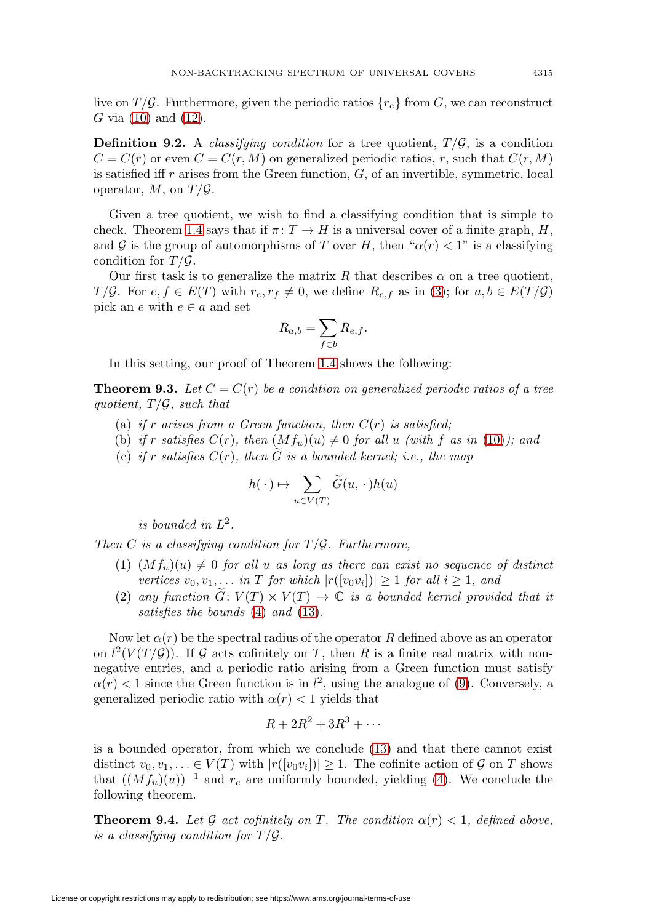live on  $T/G$ . Furthermore, given the periodic ratios  ${r_{e}}$  from G, we can reconstruct G via [\(10\)](#page-24-3) and [\(12\)](#page-25-1).

**Definition 9.2.** A *classifying condition* for a tree quotient,  $T/\mathcal{G}$ , is a condition  $C = C(r)$  or even  $C = C(r, M)$  on generalized periodic ratios, r, such that  $C(r, M)$ is satisfied iff  $r$  arises from the Green function,  $G$ , of an invertible, symmetric, local operator,  $M$ , on  $T/G$ .

Given a tree quotient, we wish to find a classifying condition that is simple to check. Theorem [1.4](#page-8-0) says that if  $\pi: T \to H$  is a universal cover of a finite graph, H, and G is the group of automorphisms of T over H, then " $\alpha(r) < 1$ " is a classifying condition for  $T/G$ .

Our first task is to generalize the matrix R that describes  $\alpha$  on a tree quotient, T/G. For  $e, f \in E(T)$  with  $r_e, r_f \neq 0$ , we define  $R_{e,f}$  as in [\(3\)](#page-8-3); for  $a, b \in E(T/\mathcal{G})$ pick an e with  $e \in a$  and set

$$
R_{a,b} = \sum_{f \in b} R_{e,f}.
$$

In this setting, our proof of Theorem [1.4](#page-8-0) shows the following:

**Theorem 9.3.** Let  $C = C(r)$  be a condition on generalized periodic ratios of a tree quotient,  $T/\mathcal{G}$ , such that

- (a) if r arises from a Green function, then  $C(r)$  is satisfied;
- (b) if r satisfies  $C(r)$ , then  $(Mf_u)(u) \neq 0$  for all u (with f as in [\(10\)](#page-24-3)); and
- (c) if r satisfies  $C(r)$ , then G is a bounded kernel; i.e., the map

$$
h(\,\cdot\,) \mapsto \sum_{u\in V(T)} \widetilde{G}(u,\,\cdot\,)h(u)
$$

is bounded in  $L^2$ .

Then C is a classifying condition for  $T/G$ . Furthermore,

- (1)  $(Mf_u)(u) \neq 0$  for all u as long as there can exist no sequence of distinct vertices  $v_0, v_1, \ldots$  in T for which  $|r([v_0v_i])| \geq 1$  for all  $i \geq 1$ , and
- (2) any function  $\widetilde{G}: V(T) \times V(T) \rightarrow \mathbb{C}$  is a bounded kernel provided that it satisfies the bounds [\(4\)](#page-19-3) and [\(13\)](#page-25-2).

Now let  $\alpha(r)$  be the spectral radius of the operator R defined above as an operator on  $l^2(V(T/\mathcal{G}))$ . If  $\mathcal G$  acts cofinitely on T, then R is a finite real matrix with nonnegative entries, and a periodic ratio arising from a Green function must satisfy  $\alpha(r)$  < 1 since the Green function is in  $l^2$ , using the analogue of [\(9\)](#page-23-1). Conversely, a generalized periodic ratio with  $\alpha(r) < 1$  yields that

$$
R+2R^2+3R^3+\cdots
$$

is a bounded operator, from which we conclude [\(13\)](#page-25-2) and that there cannot exist distinct  $v_0, v_1, \ldots \in V(T)$  with  $|r([v_0v_i])| \geq 1$ . The cofinite action of G on T shows that  $((Mf_u)(u))^{-1}$  and  $r_e$  are uniformly bounded, yielding [\(4\)](#page-19-3). We conclude the following theorem.

**Theorem 9.4.** Let G act cofinitely on T. The condition  $\alpha(r) < 1$ , defined above, is a classifying condition for  $T/G$ .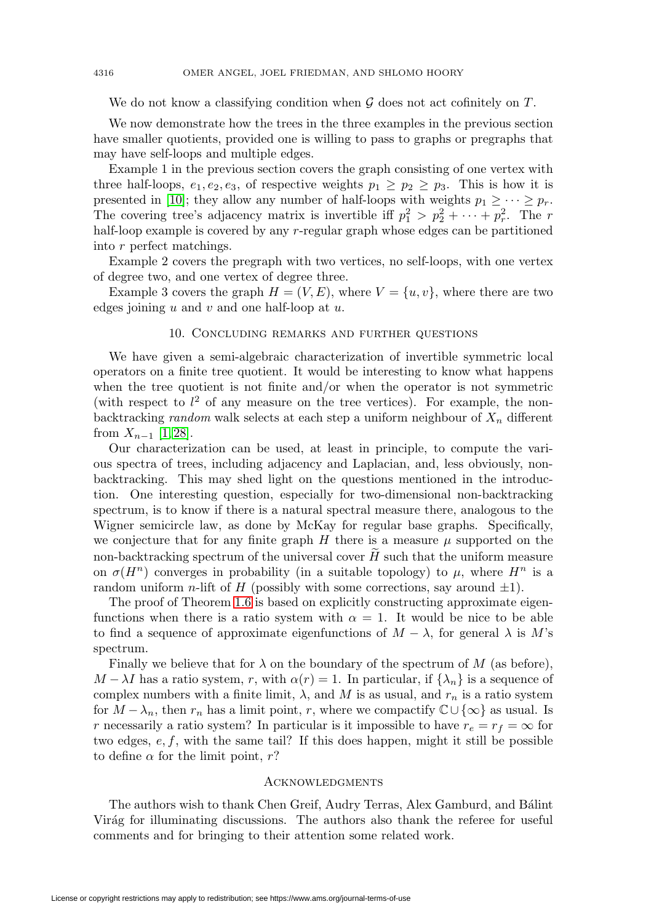We do not know a classifying condition when  $\mathcal G$  does not act cofinitely on  $T$ .

We now demonstrate how the trees in the three examples in the previous section have smaller quotients, provided one is willing to pass to graphs or pregraphs that may have self-loops and multiple edges.

Example 1 in the previous section covers the graph consisting of one vertex with three half-loops,  $e_1, e_2, e_3$ , of respective weights  $p_1 \geq p_2 \geq p_3$ . This is how it is presented in [\[10\]](#page-30-18); they allow any number of half-loops with weights  $p_1 \geq \cdots \geq p_r$ . The covering tree's adjacency matrix is invertible iff  $p_1^2 > p_2^2 + \cdots + p_r^2$ . The r half-loop example is covered by any r-regular graph whose edges can be partitioned into r perfect matchings.

Example 2 covers the pregraph with two vertices, no self-loops, with one vertex of degree two, and one vertex of degree three.

Example 3 covers the graph  $H = (V, E)$ , where  $V = \{u, v\}$ , where there are two edges joining  $u$  and  $v$  and one half-loop at  $u$ .

### 10. Concluding remarks and further questions

We have given a semi-algebraic characterization of invertible symmetric local operators on a finite tree quotient. It would be interesting to know what happens when the tree quotient is not finite and/or when the operator is not symmetric (with respect to  $l^2$  of any measure on the tree vertices). For example, the nonbacktracking random walk selects at each step a uniform neighbour of  $X_n$  different from  $X_{n-1}$  [\[1,](#page-30-20)28].

Our characterization can be used, at least in principle, to compute the various spectra of trees, including adjacency and Laplacian, and, less obviously, nonbacktracking. This may shed light on the questions mentioned in the introduction. One interesting question, especially for two-dimensional non-backtracking spectrum, is to know if there is a natural spectral measure there, analogous to the Wigner semicircle law, as done by McKay for regular base graphs. Specifically, we conjecture that for any finite graph  $H$  there is a measure  $\mu$  supported on the non-backtracking spectrum of the universal cover  $H$  such that the uniform measure on  $\sigma(H^n)$  converges in probability (in a suitable topology) to  $\mu$ , where  $H^n$  is a random uniform n-lift of H (possibly with some corrections, say around  $\pm 1$ ).

The proof of Theorem [1.6](#page-8-1) is based on explicitly constructing approximate eigenfunctions when there is a ratio system with  $\alpha = 1$ . It would be nice to be able to find a sequence of approximate eigenfunctions of  $M - \lambda$ , for general  $\lambda$  is M's spectrum.

Finally we believe that for  $\lambda$  on the boundary of the spectrum of M (as before),  $M - \lambda I$  has a ratio system, r, with  $\alpha(r) = 1$ . In particular, if  $\{\lambda_n\}$  is a sequence of complex numbers with a finite limit,  $\lambda$ , and  $M$  is as usual, and  $r_n$  is a ratio system for  $M - \lambda_n$ , then  $r_n$  has a limit point, r, where we compactify  $\mathbb{C} \cup \{\infty\}$  as usual. Is r necessarily a ratio system? In particular is it impossible to have  $r_e = r_f = \infty$  for two edges,  $e, f$ , with the same tail? If this does happen, might it still be possible to define  $\alpha$  for the limit point, r?

### **ACKNOWLEDGMENTS**

The authors wish to thank Chen Greif, Audry Terras, Alex Gamburd, and Bálint Virág for illuminating discussions. The authors also thank the referee for useful comments and for bringing to their attention some related work.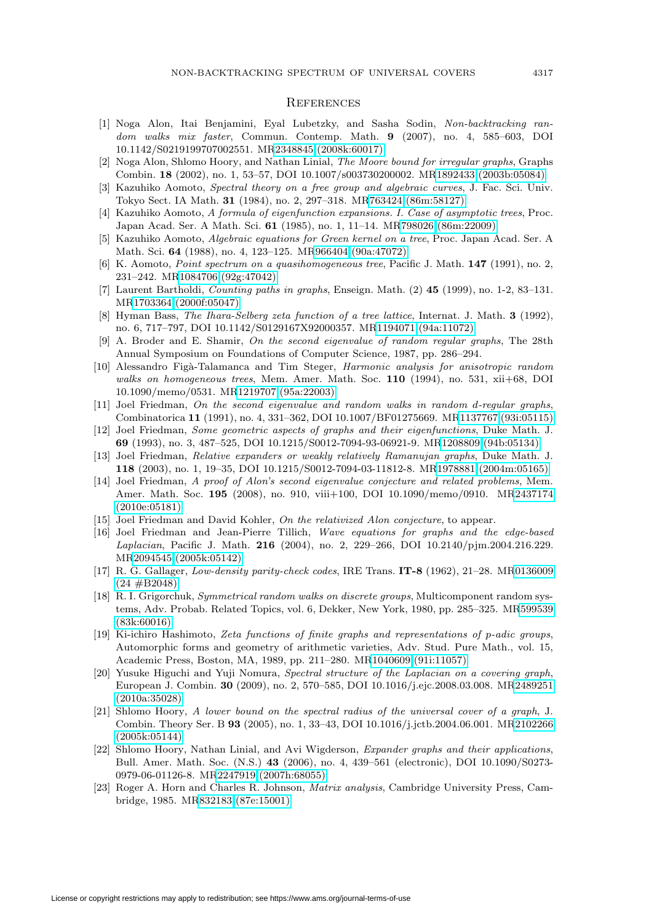#### **REFERENCES**

- <span id="page-30-20"></span>[1] Noga Alon, Itai Benjamini, Eyal Lubetzky, and Sasha Sodin, Non-backtracking random walks mix faster, Commun. Contemp. Math. **9** (2007), no. 4, 585–603, DOI 10.1142/S0219199707002551. M[R2348845 \(2008k:60017\)](http://www.ams.org/mathscinet-getitem?mr=2348845)
- <span id="page-30-11"></span>[2] Noga Alon, Shlomo Hoory, and Nathan Linial, The Moore bound for irregular graphs, Graphs Combin. **18** (2002), no. 1, 53–57, DOI 10.1007/s003730200002. M[R1892433 \(2003b:05084\)](http://www.ams.org/mathscinet-getitem?mr=1892433)
- <span id="page-30-6"></span>[3] Kazuhiko Aomoto, Spectral theory on a free group and algebraic curves, J. Fac. Sci. Univ. Tokyo Sect. IA Math. **31** (1984), no. 2, 297–318. M[R763424 \(86m:58127\)](http://www.ams.org/mathscinet-getitem?mr=763424)
- [4] Kazuhiko Aomoto, A formula of eigenfunction expansions. I. Case of asymptotic trees, Proc. Japan Acad. Ser. A Math. Sci. **61** (1985), no. 1, 11–14. M[R798026 \(86m:22009\)](http://www.ams.org/mathscinet-getitem?mr=798026)
- [5] Kazuhiko Aomoto, Algebraic equations for Green kernel on a tree, Proc. Japan Acad. Ser. A Math. Sci. **64** (1988), no. 4, 123–125. M[R966404 \(90a:47072\)](http://www.ams.org/mathscinet-getitem?mr=966404)
- <span id="page-30-7"></span>[6] K. Aomoto, Point spectrum on a quasihomogeneous tree, Pacific J. Math. **147** (1991), no. 2, 231–242. M[R1084706 \(92g:47042\)](http://www.ams.org/mathscinet-getitem?mr=1084706)
- <span id="page-30-4"></span>[7] Laurent Bartholdi, Counting paths in graphs, Enseign. Math. (2) **45** (1999), no. 1-2, 83–131. M[R1703364 \(2000f:05047\)](http://www.ams.org/mathscinet-getitem?mr=1703364)
- <span id="page-30-16"></span>[8] Hyman Bass, The Ihara-Selberg zeta function of a tree lattice, Internat. J. Math. **3** (1992), no. 6, 717–797, DOI 10.1142/S0129167X92000357. M[R1194071 \(94a:11072\)](http://www.ams.org/mathscinet-getitem?mr=1194071)
- <span id="page-30-0"></span>[9] A. Broder and E. Shamir, On the second eigenvalue of random regular graphs, The 28th Annual Symposium on Foundations of Computer Science, 1987, pp. 286–294.
- <span id="page-30-18"></span>[10] Alessandro Figà-Talamanca and Tim Steger, Harmonic analysis for anisotropic random walks on homogeneous trees, Mem. Amer. Math. Soc. **110** (1994), no. 531, xii+68, DOI 10.1090/memo/0531. M[R1219707 \(95a:22003\)](http://www.ams.org/mathscinet-getitem?mr=1219707)
- <span id="page-30-1"></span>[11] Joel Friedman, On the second eigenvalue and random walks in random d-regular graphs, Combinatorica **11** (1991), no. 4, 331–362, DOI 10.1007/BF01275669. M[R1137767 \(93i:05115\)](http://www.ams.org/mathscinet-getitem?mr=1137767)
- <span id="page-30-9"></span>[12] Joel Friedman, Some geometric aspects of graphs and their eigenfunctions, Duke Math. J. **69** (1993), no. 3, 487–525, DOI 10.1215/S0012-7094-93-06921-9. M[R1208809 \(94b:05134\)](http://www.ams.org/mathscinet-getitem?mr=1208809)
- <span id="page-30-14"></span>[13] Joel Friedman, Relative expanders or weakly relatively Ramanujan graphs, Duke Math. J. **118** (2003), no. 1, 19–35, DOI 10.1215/S0012-7094-03-11812-8. M[R1978881 \(2004m:05165\)](http://www.ams.org/mathscinet-getitem?mr=1978881)
- <span id="page-30-2"></span>[14] Joel Friedman, A proof of Alon's second eigenvalue conjecture and related problems, Mem. Amer. Math. Soc. **195** (2008), no. 910, viii+100, DOI 10.1090/memo/0910. M[R2437174](http://www.ams.org/mathscinet-getitem?mr=2437174) [\(2010e:05181\)](http://www.ams.org/mathscinet-getitem?mr=2437174)
- <span id="page-30-3"></span>[15] Joel Friedman and David Kohler, On the relativized Alon conjecture, to appear.
- <span id="page-30-19"></span>[16] Joel Friedman and Jean-Pierre Tillich, Wave equations for graphs and the edge-based Laplacian, Pacific J. Math. **216** (2004), no. 2, 229–266, DOI 10.2140/pjm.2004.216.229. M[R2094545 \(2005k:05142\)](http://www.ams.org/mathscinet-getitem?mr=2094545)
- <span id="page-30-13"></span>[17] R. G. Gallager, Low-density parity-check codes, IRE Trans. **IT-8** (1962), 21–28. M[R0136009](http://www.ams.org/mathscinet-getitem?mr=0136009)  $(24 \#B2048)$
- <span id="page-30-5"></span>[18] R. I. Grigorchuk, Symmetrical random walks on discrete groups, Multicomponent random systems, Adv. Probab. Related Topics, vol. 6, Dekker, New York, 1980, pp. 285–325. M[R599539](http://www.ams.org/mathscinet-getitem?mr=599539) [\(83k:60016\)](http://www.ams.org/mathscinet-getitem?mr=599539)
- <span id="page-30-10"></span>[19] Ki-ichiro Hashimoto, Zeta functions of finite graphs and representations of p-adic groups, Automorphic forms and geometry of arithmetic varieties, Adv. Stud. Pure Math., vol. 15, Academic Press, Boston, MA, 1989, pp. 211–280. M[R1040609 \(91i:11057\)](http://www.ams.org/mathscinet-getitem?mr=1040609)
- <span id="page-30-8"></span>[20] Yusuke Higuchi and Yuji Nomura, Spectral structure of the Laplacian on a covering graph, European J. Combin. **30** (2009), no. 2, 570–585, DOI 10.1016/j.ejc.2008.03.008. M[R2489251](http://www.ams.org/mathscinet-getitem?mr=2489251) [\(2010a:35028\)](http://www.ams.org/mathscinet-getitem?mr=2489251)
- <span id="page-30-12"></span>[21] Shlomo Hoory, A lower bound on the spectral radius of the universal cover of a graph, J. Combin. Theory Ser. B **93** (2005), no. 1, 33–43, DOI 10.1016/j.jctb.2004.06.001. M[R2102266](http://www.ams.org/mathscinet-getitem?mr=2102266) [\(2005k:05144\)](http://www.ams.org/mathscinet-getitem?mr=2102266)
- <span id="page-30-15"></span>[22] Shlomo Hoory, Nathan Linial, and Avi Wigderson, Expander graphs and their applications, Bull. Amer. Math. Soc. (N.S.) **43** (2006), no. 4, 439–561 (electronic), DOI 10.1090/S0273- 0979-06-01126-8. M[R2247919 \(2007h:68055\)](http://www.ams.org/mathscinet-getitem?mr=2247919)
- <span id="page-30-17"></span>[23] Roger A. Horn and Charles R. Johnson, Matrix analysis, Cambridge University Press, Cambridge, 1985. M[R832183 \(87e:15001\)](http://www.ams.org/mathscinet-getitem?mr=832183)